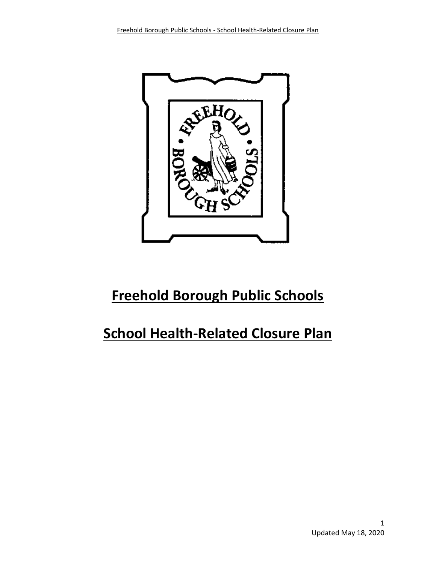

# **Freehold Borough Public Schools**

# **School Health-Related Closure Plan**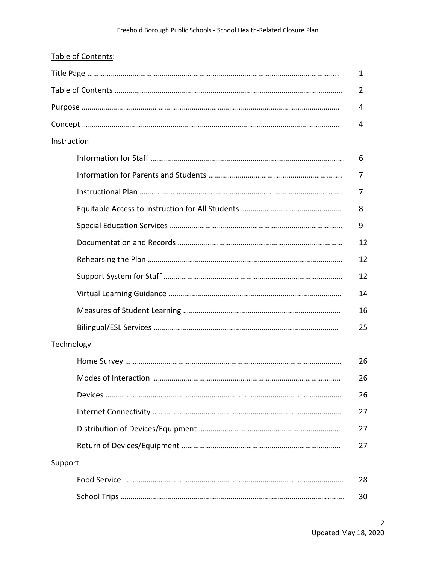| Table of Contents: |   |    |
|--------------------|---|----|
|                    |   | 1  |
|                    | 2 |    |
|                    |   | 4  |
|                    |   | 4  |
| Instruction        |   |    |
|                    | 6 |    |
|                    | 7 |    |
|                    |   | 7  |
|                    | 8 |    |
|                    | 9 |    |
|                    |   | 12 |
|                    |   | 12 |
|                    |   | 12 |
|                    |   | 14 |
|                    |   | 16 |
|                    |   | 25 |
| Technology         |   |    |
|                    |   | 26 |
|                    |   | 26 |
|                    |   | 26 |
|                    |   | 27 |
|                    |   | 27 |
|                    |   | 27 |
| Support            |   |    |
|                    |   | 28 |
|                    |   | 30 |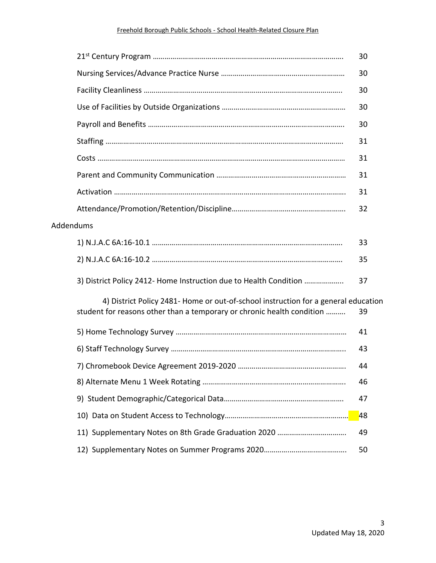#### Freehold Borough Public Schools - School Health-Related Closure Plan

|           |                                                                                                                                                              | 30 |
|-----------|--------------------------------------------------------------------------------------------------------------------------------------------------------------|----|
|           |                                                                                                                                                              | 30 |
|           |                                                                                                                                                              | 30 |
|           |                                                                                                                                                              | 30 |
|           |                                                                                                                                                              | 30 |
|           |                                                                                                                                                              | 31 |
|           |                                                                                                                                                              | 31 |
|           |                                                                                                                                                              | 31 |
|           |                                                                                                                                                              | 31 |
|           |                                                                                                                                                              | 32 |
| Addendums |                                                                                                                                                              |    |
|           |                                                                                                                                                              | 33 |
|           |                                                                                                                                                              | 35 |
|           | 3) District Policy 2412- Home Instruction due to Health Condition                                                                                            | 37 |
|           | 4) District Policy 2481- Home or out-of-school instruction for a general education<br>student for reasons other than a temporary or chronic health condition | 39 |
|           |                                                                                                                                                              | 41 |
|           |                                                                                                                                                              | 43 |
|           |                                                                                                                                                              | 44 |
|           |                                                                                                                                                              | 46 |
|           |                                                                                                                                                              | 47 |
|           |                                                                                                                                                              | 48 |
|           |                                                                                                                                                              | 49 |
|           |                                                                                                                                                              | 50 |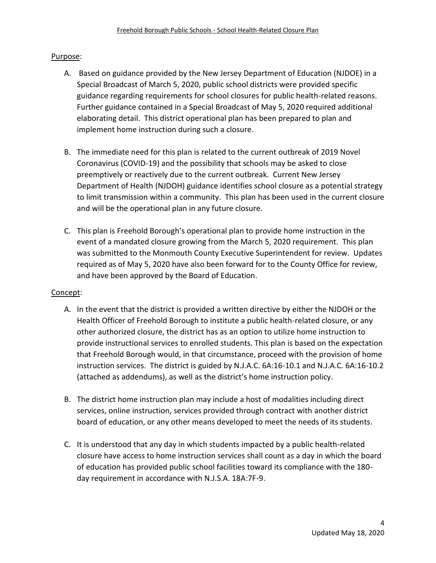#### Purpose:

- A. Based on guidance provided by the New Jersey Department of Education (NJDOE) in a Special Broadcast of March 5, 2020, public school districts were provided specific guidance regarding requirements for school closures for public health-related reasons. Further guidance contained in a Special Broadcast of May 5, 2020 required additional elaborating detail. This district operational plan has been prepared to plan and implement home instruction during such a closure.
- B. The immediate need for this plan is related to the current outbreak of 2019 Novel Coronavirus (COVID-19) and the possibility that schools may be asked to close preemptively or reactively due to the current outbreak. Current New Jersey Department of Health (NJDOH) guidance identifies school closure as a potential strategy to limit transmission within a community. This plan has been used in the current closure and will be the operational plan in any future closure.
- C. This plan is Freehold Borough's operational plan to provide home instruction in the event of a mandated closure growing from the March 5, 2020 requirement. This plan was submitted to the Monmouth County Executive Superintendent for review. Updates required as of May 5, 2020 have also been forward for to the County Office for review, and have been approved by the Board of Education.

#### Concept:

- A. In the event that the district is provided a written directive by either the NJDOH or the Health Officer of Freehold Borough to institute a public health-related closure, or any other authorized closure, the district has as an option to utilize home instruction to provide instructional services to enrolled students. This plan is based on the expectation that Freehold Borough would, in that circumstance, proceed with the provision of home instruction services. The district is guided by N.J.A.C. 6A:16-10.1 and N.J.A.C. 6A:16-10.2 (attached as addendums), as well as the district's home instruction policy.
- B. The district home instruction plan may include a host of modalities including direct services, online instruction, services provided through contract with another district board of education, or any other means developed to meet the needs of its students.
- C. It is understood that any day in which students impacted by a public health-related closure have access to home instruction services shall count as a day in which the board of education has provided public school facilities toward its compliance with the 180 day requirement in accordance with N.J.S.A. 18A:7F-9.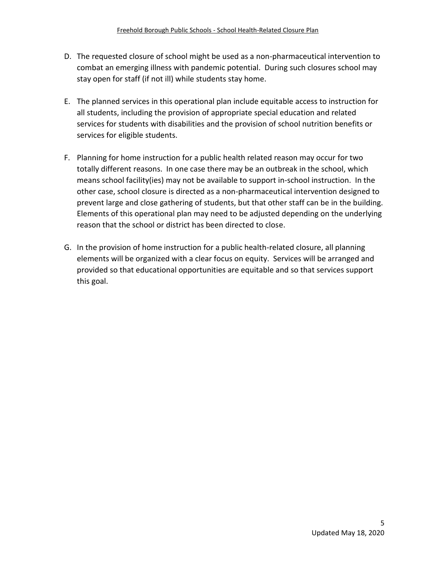- D. The requested closure of school might be used as a non-pharmaceutical intervention to combat an emerging illness with pandemic potential. During such closures school may stay open for staff (if not ill) while students stay home.
- E. The planned services in this operational plan include equitable access to instruction for all students, including the provision of appropriate special education and related services for students with disabilities and the provision of school nutrition benefits or services for eligible students.
- F. Planning for home instruction for a public health related reason may occur for two totally different reasons. In one case there may be an outbreak in the school, which means school facility(ies) may not be available to support in-school instruction. In the other case, school closure is directed as a non-pharmaceutical intervention designed to prevent large and close gathering of students, but that other staff can be in the building. Elements of this operational plan may need to be adjusted depending on the underlying reason that the school or district has been directed to close.
- G. In the provision of home instruction for a public health-related closure, all planning elements will be organized with a clear focus on equity. Services will be arranged and provided so that educational opportunities are equitable and so that services support this goal.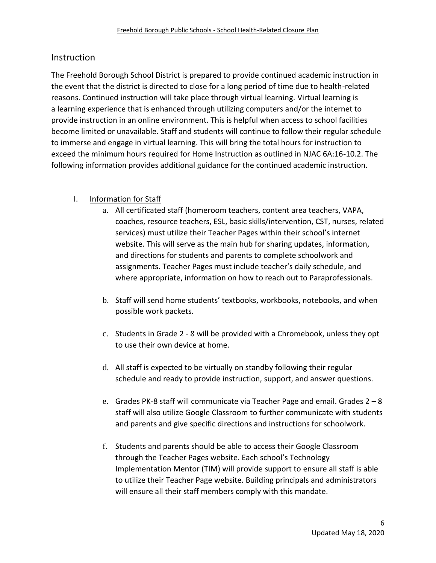# **Instruction**

The Freehold Borough School District is prepared to provide continued academic instruction in the event that the district is directed to close for a long period of time due to health-related reasons. Continued instruction will take place through virtual learning. Virtual learning is a learning experience that is enhanced through utilizing computers and/or the internet to provide instruction in an online environment. This is helpful when access to school facilities become limited or unavailable. Staff and students will continue to follow their regular schedule to immerse and engage in virtual learning. This will bring the total hours for instruction to exceed the minimum hours required for Home Instruction as outlined in NJAC 6A:16-10.2. The following information provides additional guidance for the continued academic instruction.

# I. Information for Staff

- a. All certificated staff (homeroom teachers, content area teachers, VAPA, coaches, resource teachers, ESL, basic skills/intervention, CST, nurses, related services) must utilize their Teacher Pages within their school's internet website. This will serve as the main hub for sharing updates, information, and directions for students and parents to complete schoolwork and assignments. Teacher Pages must include teacher's daily schedule, and where appropriate, information on how to reach out to Paraprofessionals.
- b. Staff will send home students' textbooks, workbooks, notebooks, and when possible work packets.
- c. Students in Grade 2 8 will be provided with a Chromebook, unless they opt to use their own device at home.
- d. All staff is expected to be virtually on standby following their regular schedule and ready to provide instruction, support, and answer questions.
- e. Grades PK-8 staff will communicate via Teacher Page and email. Grades  $2 8$ staff will also utilize Google Classroom to further communicate with students and parents and give specific directions and instructions for schoolwork.
- f. Students and parents should be able to access their Google Classroom through the Teacher Pages website. Each school's Technology Implementation Mentor (TIM) will provide support to ensure all staff is able to utilize their Teacher Page website. Building principals and administrators will ensure all their staff members comply with this mandate.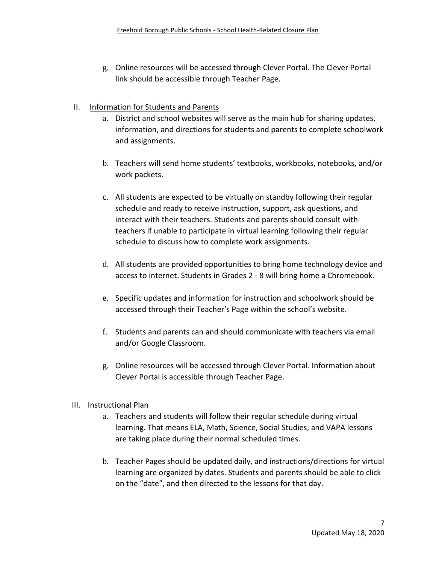g. Online resources will be accessed through Clever Portal. The Clever Portal link should be accessible through Teacher Page.

## II. Information for Students and Parents

- a. District and school websites will serve as the main hub for sharing updates, information, and directions for students and parents to complete schoolwork and assignments.
- b. Teachers will send home students' textbooks, workbooks, notebooks, and/or work packets.
- c. All students are expected to be virtually on standby following their regular schedule and ready to receive instruction, support, ask questions, and interact with their teachers. Students and parents should consult with teachers if unable to participate in virtual learning following their regular schedule to discuss how to complete work assignments.
- d. All students are provided opportunities to bring home technology device and access to internet. Students in Grades 2 - 8 will bring home a Chromebook.
- e. Specific updates and information for instruction and schoolwork should be accessed through their Teacher's Page within the school's website.
- f. Students and parents can and should communicate with teachers via email and/or Google Classroom.
- g. Online resources will be accessed through Clever Portal. Information about Clever Portal is accessible through Teacher Page.

#### III. Instructional Plan

- a. Teachers and students will follow their regular schedule during virtual learning. That means ELA, Math, Science, Social Studies, and VAPA lessons are taking place during their normal scheduled times.
- b. Teacher Pages should be updated daily, and instructions/directions for virtual learning are organized by dates. Students and parents should be able to click on the "date", and then directed to the lessons for that day.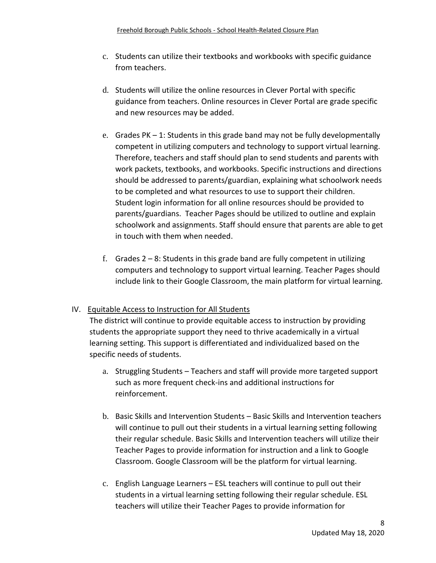- c. Students can utilize their textbooks and workbooks with specific guidance from teachers.
- d. Students will utilize the online resources in Clever Portal with specific guidance from teachers. Online resources in Clever Portal are grade specific and new resources may be added.
- e. Grades PK 1: Students in this grade band may not be fully developmentally competent in utilizing computers and technology to support virtual learning. Therefore, teachers and staff should plan to send students and parents with work packets, textbooks, and workbooks. Specific instructions and directions should be addressed to parents/guardian, explaining what schoolwork needs to be completed and what resources to use to support their children. Student login information for all online resources should be provided to parents/guardians. Teacher Pages should be utilized to outline and explain schoolwork and assignments. Staff should ensure that parents are able to get in touch with them when needed.
- f. Grades  $2 8$ : Students in this grade band are fully competent in utilizing computers and technology to support virtual learning. Teacher Pages should include link to their Google Classroom, the main platform for virtual learning.

# IV. Equitable Access to Instruction for All Students

The district will continue to provide equitable access to instruction by providing students the appropriate support they need to thrive academically in a virtual learning setting. This support is differentiated and individualized based on the specific needs of students.

- a. Struggling Students Teachers and staff will provide more targeted support such as more frequent check-ins and additional instructions for reinforcement.
- b. Basic Skills and Intervention Students Basic Skills and Intervention teachers will continue to pull out their students in a virtual learning setting following their regular schedule. Basic Skills and Intervention teachers will utilize their Teacher Pages to provide information for instruction and a link to Google Classroom. Google Classroom will be the platform for virtual learning.
- c. English Language Learners ESL teachers will continue to pull out their students in a virtual learning setting following their regular schedule. ESL teachers will utilize their Teacher Pages to provide information for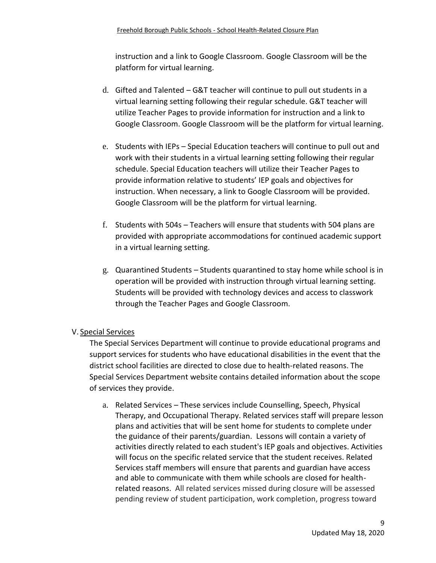instruction and a link to Google Classroom. Google Classroom will be the platform for virtual learning.

- d. Gifted and Talented G&T teacher will continue to pull out students in a virtual learning setting following their regular schedule. G&T teacher will utilize Teacher Pages to provide information for instruction and a link to Google Classroom. Google Classroom will be the platform for virtual learning.
- e. Students with IEPs Special Education teachers will continue to pull out and work with their students in a virtual learning setting following their regular schedule. Special Education teachers will utilize their Teacher Pages to provide information relative to students' IEP goals and objectives for instruction. When necessary, a link to Google Classroom will be provided. Google Classroom will be the platform for virtual learning.
- f. Students with 504s Teachers will ensure that students with 504 plans are provided with appropriate accommodations for continued academic support in a virtual learning setting.
- g. Quarantined Students Students quarantined to stay home while school is in operation will be provided with instruction through virtual learning setting. Students will be provided with technology devices and access to classwork through the Teacher Pages and Google Classroom.

# V. Special Services

The Special Services Department will continue to provide educational programs and support services for students who have educational disabilities in the event that the district school facilities are directed to close due to health-related reasons. The Special Services Department [website](https://www.freeholdboro.k12.nj.us/domain/346) contains detailed information about the scope of services they provide.

a. Related Services – These services include Counselling, Speech, Physical Therapy, and Occupational Therapy. Related services staff will prepare lesson plans and activities that will be sent home for students to complete under the guidance of their parents/guardian. Lessons will contain a variety of activities directly related to each student's IEP goals and objectives. Activities will focus on the specific related service that the student receives. Related Services staff members will ensure that parents and guardian have access and able to communicate with them while schools are closed for healthrelated reasons. All related services missed during closure will be assessed pending review of student participation, work completion, progress toward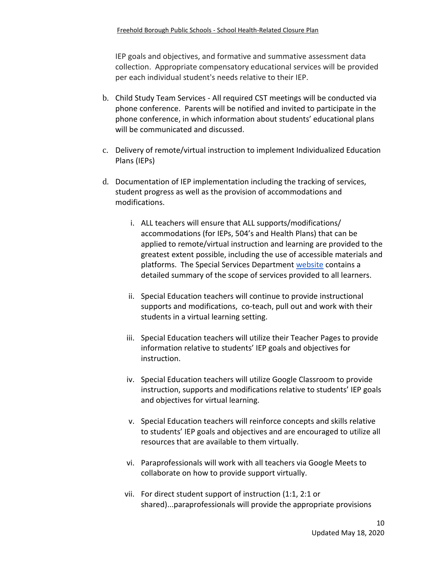IEP goals and objectives, and formative and summative assessment data collection. Appropriate compensatory educational services will be provided per each individual student's needs relative to their IEP.

- b. Child Study Team Services All required CST meetings will be conducted via phone conference. Parents will be notified and invited to participate in the phone conference, in which information about students' educational plans will be communicated and discussed.
- c. Delivery of remote/virtual instruction to implement Individualized Education Plans (IEPs)
- d. Documentation of IEP implementation including the tracking of services, student progress as well as the provision of accommodations and modifications.
	- i. ALL teachers will ensure that ALL supports/modifications/ accommodations (for IEPs, 504's and Health Plans) that can be applied to remote/virtual instruction and learning are provided to the greatest extent possible, including the use of accessible materials and platforms. The Special Services Departmen[t](https://www.freeholdboro.k12.nj.us/domain/346) [website](https://www.freeholdboro.k12.nj.us/domain/346) contains a detailed summary of the scope of services provided to all learners.
	- ii. Special Education teachers will continue to provide instructional supports and modifications, co-teach, pull out and work with their students in a virtual learning setting.
	- iii. Special Education teachers will utilize their Teacher Pages to provide information relative to students' IEP goals and objectives for instruction.
	- iv. Special Education teachers will utilize Google Classroom to provide instruction, supports and modifications relative to students' IEP goals and objectives for virtual learning.
	- v. Special Education teachers will reinforce concepts and skills relative to students' IEP goals and objectives and are encouraged to utilize all resources that are available to them virtually.
	- vi. Paraprofessionals will work with all teachers via Google Meets to collaborate on how to provide support virtually.
	- vii. For direct student support of instruction (1:1, 2:1 or shared)...paraprofessionals will provide the appropriate provisions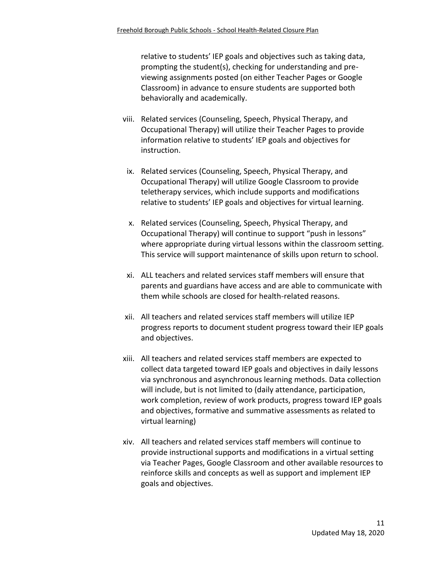relative to students' IEP goals and objectives such as taking data, prompting the student(s), checking for understanding and previewing assignments posted (on either Teacher Pages or Google Classroom) in advance to ensure students are supported both behaviorally and academically.

- viii. Related services (Counseling, Speech, Physical Therapy, and Occupational Therapy) will utilize their Teacher Pages to provide information relative to students' IEP goals and objectives for instruction.
- ix. Related services (Counseling, Speech, Physical Therapy, and Occupational Therapy) will utilize Google Classroom to provide teletherapy services, which include supports and modifications relative to students' IEP goals and objectives for virtual learning.
- x. Related services (Counseling, Speech, Physical Therapy, and Occupational Therapy) will continue to support "push in lessons" where appropriate during virtual lessons within the classroom setting. This service will support maintenance of skills upon return to school.
- xi. ALL teachers and related services staff members will ensure that parents and guardians have access and are able to communicate with them while schools are closed for health-related reasons.
- xii. All teachers and related services staff members will utilize IEP progress reports to document student progress toward their IEP goals and objectives.
- xiii. All teachers and related services staff members are expected to collect data targeted toward IEP goals and objectives in daily lessons via synchronous and asynchronous learning methods. Data collection will include, but is not limited to (daily attendance, participation, work completion, review of work products, progress toward IEP goals and objectives, formative and summative assessments as related to virtual learning)
- xiv. All teachers and related services staff members will continue to provide instructional supports and modifications in a virtual setting via Teacher Pages, Google Classroom and other available resources to reinforce skills and concepts as well as support and implement IEP goals and objectives.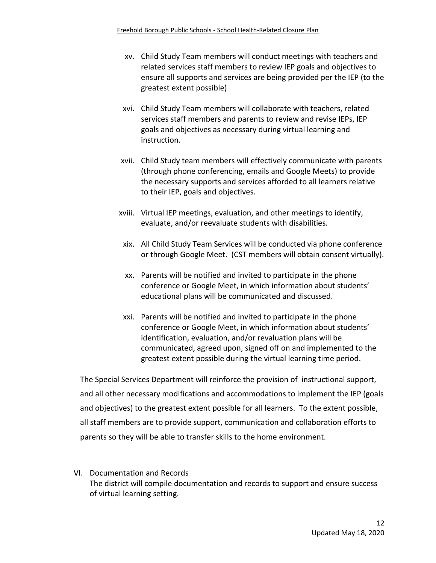- xv. Child Study Team members will conduct meetings with teachers and related services staff members to review IEP goals and objectives to ensure all supports and services are being provided per the IEP (to the greatest extent possible)
- xvi. Child Study Team members will collaborate with teachers, related services staff members and parents to review and revise IEPs, IEP goals and objectives as necessary during virtual learning and instruction.
- xvii. Child Study team members will effectively communicate with parents (through phone conferencing, emails and Google Meets) to provide the necessary supports and services afforded to all learners relative to their IEP, goals and objectives.
- xviii. Virtual IEP meetings, evaluation, and other meetings to identify, evaluate, and/or reevaluate students with disabilities.
- xix. All Child Study Team Services will be conducted via phone conference or through Google Meet. (CST members will obtain consent virtually).
- xx. Parents will be notified and invited to participate in the phone conference or Google Meet, in which information about students' educational plans will be communicated and discussed.
- xxi. Parents will be notified and invited to participate in the phone conference or Google Meet, in which information about students' identification, evaluation, and/or revaluation plans will be communicated, agreed upon, signed off on and implemented to the greatest extent possible during the virtual learning time period.

The Special Services Department will reinforce the provision of instructional support, and all other necessary modifications and accommodations to implement the IEP (goals and objectives) to the greatest extent possible for all learners. To the extent possible, all staff members are to provide support, communication and collaboration efforts to parents so they will be able to transfer skills to the home environment.

VI. Documentation and Records The district will compile documentation and records to support and ensure success of virtual learning setting.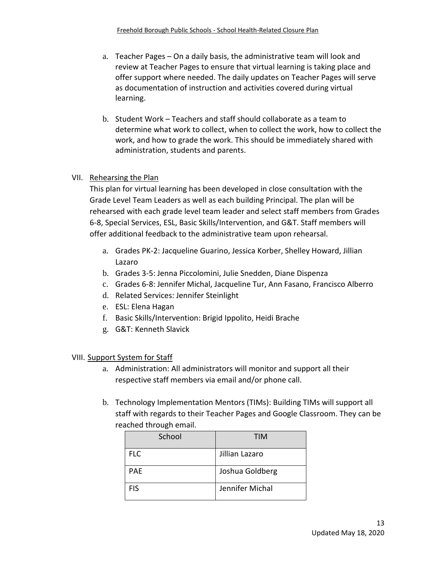- a. Teacher Pages On a daily basis, the administrative team will look and review at Teacher Pages to ensure that virtual learning is taking place and offer support where needed. The daily updates on Teacher Pages will serve as documentation of instruction and activities covered during virtual learning.
- b. Student Work Teachers and staff should collaborate as a team to determine what work to collect, when to collect the work, how to collect the work, and how to grade the work. This should be immediately shared with administration, students and parents.

#### VII. Rehearsing the Plan

This plan for virtual learning has been developed in close consultation with the Grade Level Team Leaders as well as each building Principal. The plan will be rehearsed with each grade level team leader and select staff members from Grades 6-8, Special Services, ESL, Basic Skills/Intervention, and G&T. Staff members will offer additional feedback to the administrative team upon rehearsal.

- a. Grades PK-2: Jacqueline Guarino, Jessica Korber, Shelley Howard, Jillian Lazaro
- b. Grades 3-5: Jenna Piccolomini, Julie Snedden, Diane Dispenza
- c. Grades 6-8: Jennifer Michal, Jacqueline Tur, Ann Fasano, Francisco Alberro
- d. Related Services: Jennifer Steinlight
- e. ESL: Elena Hagan
- f. Basic Skills/Intervention: Brigid Ippolito, Heidi Brache
- g. G&T: Kenneth Slavick

VIII. Support System for Staff

- a. Administration: All administrators will monitor and support all their respective staff members via email and/or phone call.
- b. Technology Implementation Mentors (TIMs): Building TIMs will support all staff with regards to their Teacher Pages and Google Classroom. They can be reached through email.

| School     | TIM             |
|------------|-----------------|
| <b>FLC</b> | Jillian Lazaro  |
| <b>PAE</b> | Joshua Goldberg |
| <b>FIS</b> | Jennifer Michal |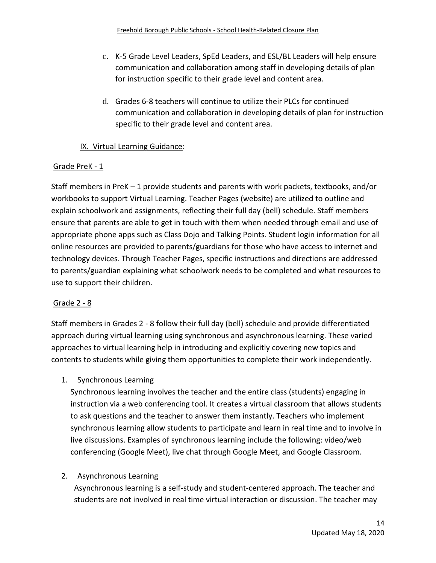- c. K-5 Grade Level Leaders, SpEd Leaders, and ESL/BL Leaders will help ensure communication and collaboration among staff in developing details of plan for instruction specific to their grade level and content area.
- d. Grades 6-8 teachers will continue to utilize their PLCs for continued communication and collaboration in developing details of plan for instruction specific to their grade level and content area.

# IX. Virtual Learning Guidance:

## Grade PreK - 1

Staff members in PreK – 1 provide students and parents with work packets, textbooks, and/or workbooks to support Virtual Learning. Teacher Pages (website) are utilized to outline and explain schoolwork and assignments, reflecting their full day (bell) schedule. Staff members ensure that parents are able to get in touch with them when needed through email and use of appropriate phone apps such as Class Dojo and Talking Points. Student login information for all online resources are provided to parents/guardians for those who have access to internet and technology devices. Through Teacher Pages, specific instructions and directions are addressed to parents/guardian explaining what schoolwork needs to be completed and what resources to use to support their children.

#### Grade 2 - 8

Staff members in Grades 2 - 8 follow their full day (bell) schedule and provide differentiated approach during virtual learning using synchronous and asynchronous learning. These varied approaches to virtual learning help in introducing and explicitly covering new topics and contents to students while giving them opportunities to complete their work independently.

1. Synchronous Learning

Synchronous learning involves the teacher and the entire class (students) engaging in instruction via a web conferencing tool. It creates a virtual classroom that allows students to ask questions and the teacher to answer them instantly. Teachers who implement synchronous learning allow students to participate and learn in real time and to involve in live discussions. Examples of synchronous learning include the following: video/web conferencing (Google Meet), live chat through Google Meet, and Google Classroom.

#### 2. Asynchronous Learning

Asynchronous learning is a self-study and student-centered approach. The teacher and students are not involved in real time virtual interaction or discussion. The teacher may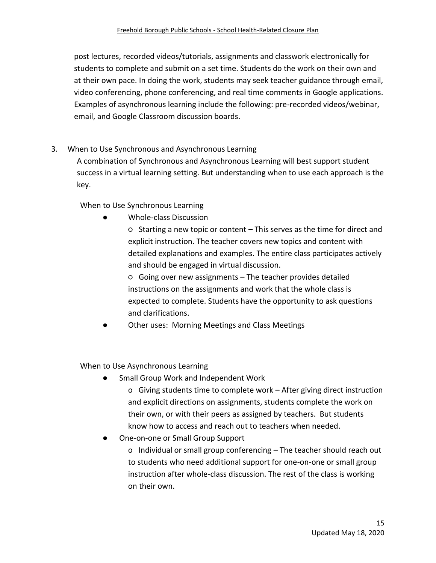post lectures, recorded videos/tutorials, assignments and classwork electronically for students to complete and submit on a set time. Students do the work on their own and at their own pace. In doing the work, students may seek teacher guidance through email, video conferencing, phone conferencing, and real time comments in Google applications. Examples of asynchronous learning include the following: pre-recorded videos/webinar, email, and Google Classroom discussion boards.

3. When to Use Synchronous and Asynchronous Learning

A combination of Synchronous and Asynchronous Learning will best support student success in a virtual learning setting. But understanding when to use each approach is the key.

When to Use Synchronous Learning

Whole-class Discussion

○ Starting a new topic or content – This serves as the time for direct and explicit instruction. The teacher covers new topics and content with detailed explanations and examples. The entire class participates actively and should be engaged in virtual discussion.

○ Going over new assignments – The teacher provides detailed instructions on the assignments and work that the whole class is expected to complete. Students have the opportunity to ask questions and clarifications.

Other uses: Morning Meetings and Class Meetings

When to Use Asynchronous Learning

Small Group Work and Independent Work

o Giving students time to complete work – After giving direct instruction and explicit directions on assignments, students complete the work on their own, or with their peers as assigned by teachers. But students know how to access and reach out to teachers when needed.

One-on-one or Small Group Support

o Individual or small group conferencing – The teacher should reach out to students who need additional support for one-on-one or small group instruction after whole-class discussion. The rest of the class is working on their own.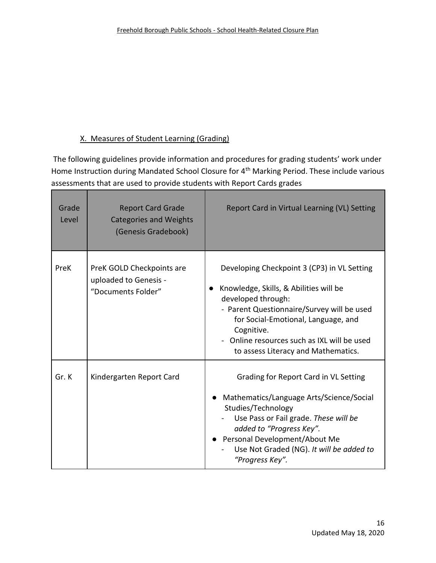# X. Measures of Student Learning (Grading)

n a

The following guidelines provide information and procedures for grading students' work under Home Instruction during Mandated School Closure for 4<sup>th</sup> Marking Period. These include various assessments that are used to provide students with Report Cards grades

| Grade<br>Level | <b>Report Card Grade</b><br><b>Categories and Weights</b><br>(Genesis Gradebook) | Report Card in Virtual Learning (VL) Setting                                                                                                                                                                                                                                                         |
|----------------|----------------------------------------------------------------------------------|------------------------------------------------------------------------------------------------------------------------------------------------------------------------------------------------------------------------------------------------------------------------------------------------------|
| PreK           | PreK GOLD Checkpoints are<br>uploaded to Genesis -<br>"Documents Folder"         | Developing Checkpoint 3 (CP3) in VL Setting<br>Knowledge, Skills, & Abilities will be<br>developed through:<br>- Parent Questionnaire/Survey will be used<br>for Social-Emotional, Language, and<br>Cognitive.<br>- Online resources such as IXL will be used<br>to assess Literacy and Mathematics. |
| Gr.K           | Kindergarten Report Card                                                         | Grading for Report Card in VL Setting<br>Mathematics/Language Arts/Science/Social<br>Studies/Technology<br>Use Pass or Fail grade. These will be<br>added to "Progress Key".<br>• Personal Development/About Me<br>Use Not Graded (NG). It will be added to<br>"Progress Key".                       |

m.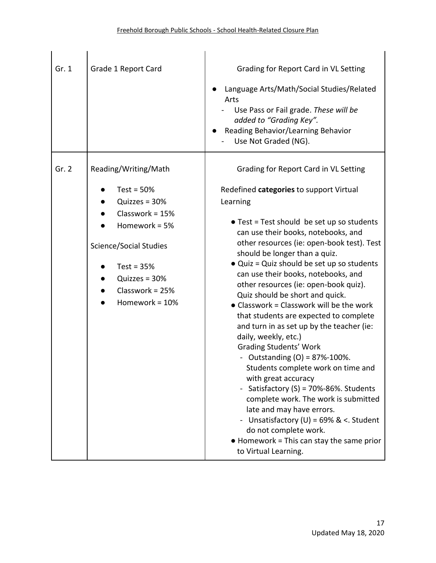| Gr. 1 | Grade 1 Report Card                                                                                                                                                                                    | Grading for Report Card in VL Setting<br>Language Arts/Math/Social Studies/Related<br>Arts<br>Use Pass or Fail grade. These will be<br>added to "Grading Key".<br>Reading Behavior/Learning Behavior<br>Use Not Graded (NG).                                                                                                                                                                                                                                                                                                                                                                                                                                                                                                                                                                                                                                                                                                                                                                |
|-------|--------------------------------------------------------------------------------------------------------------------------------------------------------------------------------------------------------|---------------------------------------------------------------------------------------------------------------------------------------------------------------------------------------------------------------------------------------------------------------------------------------------------------------------------------------------------------------------------------------------------------------------------------------------------------------------------------------------------------------------------------------------------------------------------------------------------------------------------------------------------------------------------------------------------------------------------------------------------------------------------------------------------------------------------------------------------------------------------------------------------------------------------------------------------------------------------------------------|
| Gr. 2 | Reading/Writing/Math<br>Test = $50%$<br>Quizzes = 30%<br>Classwork = $15%$<br>Homework = 5%<br><b>Science/Social Studies</b><br>Test = $35%$<br>Quizzes = 30%<br>Classwork = $25%$<br>Homework = $10%$ | Grading for Report Card in VL Setting<br>Redefined categories to support Virtual<br>Learning<br>• Test = Test should be set up so students<br>can use their books, notebooks, and<br>other resources (ie: open-book test). Test<br>should be longer than a quiz.<br>• Quiz = Quiz should be set up so students<br>can use their books, notebooks, and<br>other resources (ie: open-book quiz).<br>Quiz should be short and quick.<br>• Classwork = Classwork will be the work<br>that students are expected to complete<br>and turn in as set up by the teacher (ie:<br>daily, weekly, etc.)<br><b>Grading Students' Work</b><br>- Outstanding $(O) = 87\% - 100\%$ .<br>Students complete work on time and<br>with great accuracy<br>Satisfactory (S) = 70%-86%. Students<br>complete work. The work is submitted<br>late and may have errors.<br>- Unsatisfactory (U) = $69\%$ & <. Student<br>do not complete work.<br>• Homework = This can stay the same prior<br>to Virtual Learning. |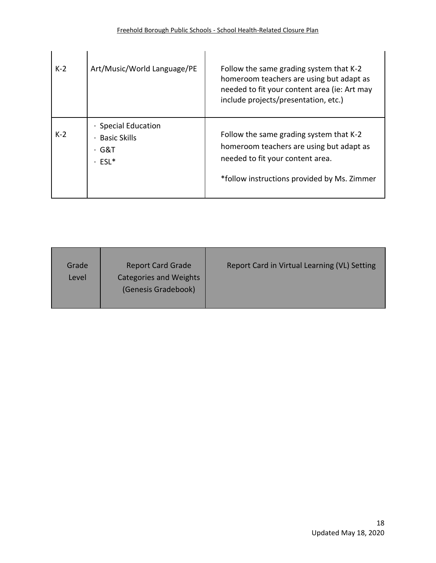| $K-2$ | Art/Music/World Language/PE                                               | Follow the same grading system that K-2<br>homeroom teachers are using but adapt as<br>needed to fit your content area (ie: Art may<br>include projects/presentation, etc.) |
|-------|---------------------------------------------------------------------------|-----------------------------------------------------------------------------------------------------------------------------------------------------------------------------|
| $K-2$ | · Special Education<br><b>Basic Skills</b><br>G&T<br>$\bullet$<br>$ESL^*$ | Follow the same grading system that K-2<br>homeroom teachers are using but adapt as<br>needed to fit your content area.<br>*follow instructions provided by Ms. Zimmer      |

| <b>Report Card Grade</b><br>Grade<br><b>Categories and Weights</b><br>Level<br>(Genesis Gradebook) | Report Card in Virtual Learning (VL) Setting |
|----------------------------------------------------------------------------------------------------|----------------------------------------------|
|----------------------------------------------------------------------------------------------------|----------------------------------------------|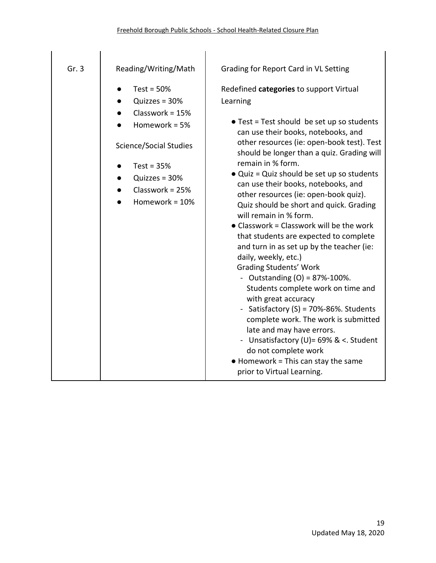| Gr.3 | Reading/Writing/Math                                                                                                                                                        | Grading for Report Card in VL Setting                                                                                                                                                                                                                                                                                                                                                                                                                                                                                                                                                                                                                                                                                                                                                                                                                                                                                                          |
|------|-----------------------------------------------------------------------------------------------------------------------------------------------------------------------------|------------------------------------------------------------------------------------------------------------------------------------------------------------------------------------------------------------------------------------------------------------------------------------------------------------------------------------------------------------------------------------------------------------------------------------------------------------------------------------------------------------------------------------------------------------------------------------------------------------------------------------------------------------------------------------------------------------------------------------------------------------------------------------------------------------------------------------------------------------------------------------------------------------------------------------------------|
|      | Test = $50%$<br>Quizzes = $30%$<br>Classwork = $15%$<br>Homework = $5%$<br>Science/Social Studies<br>Test = $35%$<br>Quizzes = $30%$<br>Classwork = $25%$<br>Homework = 10% | Redefined categories to support Virtual<br>Learning<br>• Test = Test should be set up so students<br>can use their books, notebooks, and<br>other resources (ie: open-book test). Test<br>should be longer than a quiz. Grading will<br>remain in % form.<br>• Quiz = Quiz should be set up so students<br>can use their books, notebooks, and<br>other resources (ie: open-book quiz).<br>Quiz should be short and quick. Grading<br>will remain in % form.<br>• Classwork = Classwork will be the work<br>that students are expected to complete<br>and turn in as set up by the teacher (ie:<br>daily, weekly, etc.)<br><b>Grading Students' Work</b><br>- Outstanding $(O) = 87\% - 100\%$ .<br>Students complete work on time and<br>with great accuracy<br>- Satisfactory (S) = 70%-86%. Students<br>complete work. The work is submitted<br>late and may have errors.<br>- Unsatisfactory (U)= 69% & <. Student<br>do not complete work |
|      |                                                                                                                                                                             | $\bullet$ Homework = This can stay the same<br>prior to Virtual Learning.                                                                                                                                                                                                                                                                                                                                                                                                                                                                                                                                                                                                                                                                                                                                                                                                                                                                      |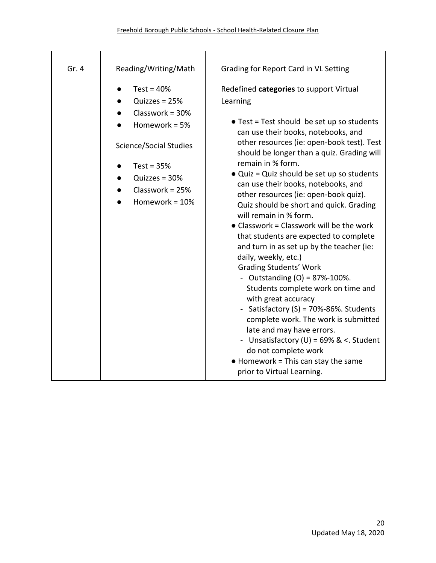| Gr.4 | Reading/Writing/Math                                                                                                                                                        | Grading for Report Card in VL Setting                                                                                                                                                                                                                                                                                                                                                                                                                                                                                                                                                                                                                                                                                                                                                                                                                                                                                                                                                                                           |
|------|-----------------------------------------------------------------------------------------------------------------------------------------------------------------------------|---------------------------------------------------------------------------------------------------------------------------------------------------------------------------------------------------------------------------------------------------------------------------------------------------------------------------------------------------------------------------------------------------------------------------------------------------------------------------------------------------------------------------------------------------------------------------------------------------------------------------------------------------------------------------------------------------------------------------------------------------------------------------------------------------------------------------------------------------------------------------------------------------------------------------------------------------------------------------------------------------------------------------------|
|      | Test = $40%$<br>Quizzes = $25%$<br>Classwork = $30%$<br>Homework = $5%$<br>Science/Social Studies<br>Test = $35%$<br>Quizzes = $30%$<br>Classwork = $25%$<br>Homework = 10% | Redefined categories to support Virtual<br>Learning<br>• Test = Test should be set up so students<br>can use their books, notebooks, and<br>other resources (ie: open-book test). Test<br>should be longer than a quiz. Grading will<br>remain in % form.<br>• Quiz = Quiz should be set up so students<br>can use their books, notebooks, and<br>other resources (ie: open-book quiz).<br>Quiz should be short and quick. Grading<br>will remain in % form.<br>• Classwork = Classwork will be the work<br>that students are expected to complete<br>and turn in as set up by the teacher (ie:<br>daily, weekly, etc.)<br><b>Grading Students' Work</b><br>- Outstanding $(O) = 87\% - 100\%$ .<br>Students complete work on time and<br>with great accuracy<br>- Satisfactory (S) = 70%-86%. Students<br>complete work. The work is submitted<br>late and may have errors.<br>- Unsatisfactory (U) = $69\%$ & <. Student<br>do not complete work<br>$\bullet$ Homework = This can stay the same<br>prior to Virtual Learning. |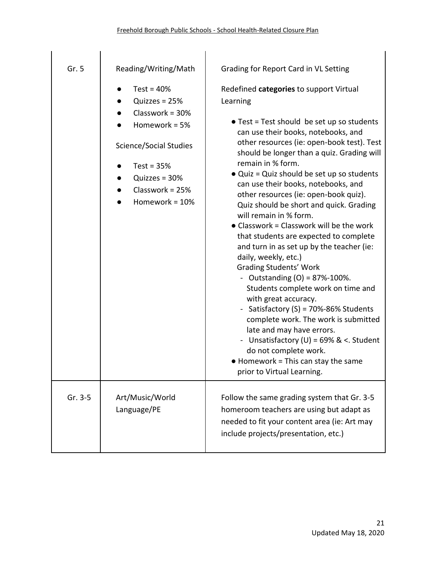| Gr. 5     | Reading/Writing/Math                                                                                                                                                         | Grading for Report Card in VL Setting                                                                                                                                                                                                                                                                                                                                                                                                                                                                                                                                                                                                                                                                                                                                                                                                                                                                                                                                                                                          |
|-----------|------------------------------------------------------------------------------------------------------------------------------------------------------------------------------|--------------------------------------------------------------------------------------------------------------------------------------------------------------------------------------------------------------------------------------------------------------------------------------------------------------------------------------------------------------------------------------------------------------------------------------------------------------------------------------------------------------------------------------------------------------------------------------------------------------------------------------------------------------------------------------------------------------------------------------------------------------------------------------------------------------------------------------------------------------------------------------------------------------------------------------------------------------------------------------------------------------------------------|
|           | Test = $40%$<br>Quizzes = $25%$<br>Classwork = $30%$<br>Homework = 5%<br>Science/Social Studies<br>Test = $35%$<br>Quizzes = $30%$<br>Classwork = $25%$<br>Homework = $10\%$ | Redefined categories to support Virtual<br>Learning<br>• Test = Test should be set up so students<br>can use their books, notebooks, and<br>other resources (ie: open-book test). Test<br>should be longer than a quiz. Grading will<br>remain in % form.<br>• Quiz = Quiz should be set up so students<br>can use their books, notebooks, and<br>other resources (ie: open-book quiz).<br>Quiz should be short and quick. Grading<br>will remain in % form.<br>• Classwork = Classwork will be the work<br>that students are expected to complete<br>and turn in as set up by the teacher (ie:<br>daily, weekly, etc.)<br><b>Grading Students' Work</b><br>- Outstanding $(O) = 87% - 100%$ .<br>Students complete work on time and<br>with great accuracy.<br>- Satisfactory (S) = 70%-86% Students<br>complete work. The work is submitted<br>late and may have errors.<br>- Unsatisfactory (U) = $69\%$ & <. Student<br>do not complete work.<br>$\bullet$ Homework = This can stay the same<br>prior to Virtual Learning. |
| $Gr. 3-5$ | Art/Music/World<br>Language/PE                                                                                                                                               | Follow the same grading system that Gr. 3-5<br>homeroom teachers are using but adapt as<br>needed to fit your content area (ie: Art may<br>include projects/presentation, etc.)                                                                                                                                                                                                                                                                                                                                                                                                                                                                                                                                                                                                                                                                                                                                                                                                                                                |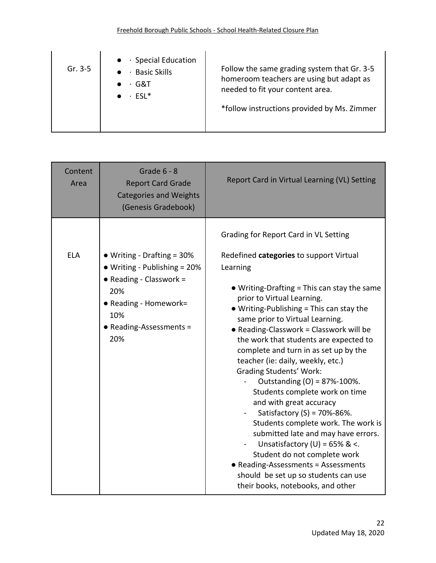| $\bullet$ · Special Education<br>Gr. $3-5$<br><b>Basic Skills</b><br>G&T<br>$\bullet$ $\cdot$ ESL* | Follow the same grading system that Gr. 3-5<br>homeroom teachers are using but adapt as<br>needed to fit your content area.<br>*follow instructions provided by Ms. Zimmer |
|----------------------------------------------------------------------------------------------------|----------------------------------------------------------------------------------------------------------------------------------------------------------------------------|
|----------------------------------------------------------------------------------------------------|----------------------------------------------------------------------------------------------------------------------------------------------------------------------------|

| Content<br>Area | Grade $6 - 8$<br><b>Report Card Grade</b><br><b>Categories and Weights</b><br>(Genesis Gradebook)                                                              | Report Card in Virtual Learning (VL) Setting                                                                                                                                                                                                                                                                                                                                                                                                                                                                                                                                                                                                                                                                                                                                                                                                                                                                       |
|-----------------|----------------------------------------------------------------------------------------------------------------------------------------------------------------|--------------------------------------------------------------------------------------------------------------------------------------------------------------------------------------------------------------------------------------------------------------------------------------------------------------------------------------------------------------------------------------------------------------------------------------------------------------------------------------------------------------------------------------------------------------------------------------------------------------------------------------------------------------------------------------------------------------------------------------------------------------------------------------------------------------------------------------------------------------------------------------------------------------------|
| <b>ELA</b>      | • Writing - Drafting = 30%<br>• Writing - Publishing = 20%<br>• Reading - Classwork =<br>20%<br>• Reading - Homework=<br>10%<br>• Reading-Assessments =<br>20% | Grading for Report Card in VL Setting<br>Redefined categories to support Virtual<br>Learning<br>$\bullet$ Writing-Drafting = This can stay the same<br>prior to Virtual Learning.<br>$\bullet$ Writing-Publishing = This can stay the<br>same prior to Virtual Learning.<br>• Reading-Classwork = Classwork will be<br>the work that students are expected to<br>complete and turn in as set up by the<br>teacher (ie: daily, weekly, etc.)<br><b>Grading Students' Work:</b><br>Outstanding (O) = 87%-100%.<br>Students complete work on time<br>and with great accuracy<br>Satisfactory (S) = 70%-86%.<br>$\blacksquare$<br>Students complete work. The work is<br>submitted late and may have errors.<br>Unsatisfactory (U) = $65\%$ & <.<br>$\blacksquare$<br>Student do not complete work<br>• Reading-Assessments = Assessments<br>should be set up so students can use<br>their books, notebooks, and other |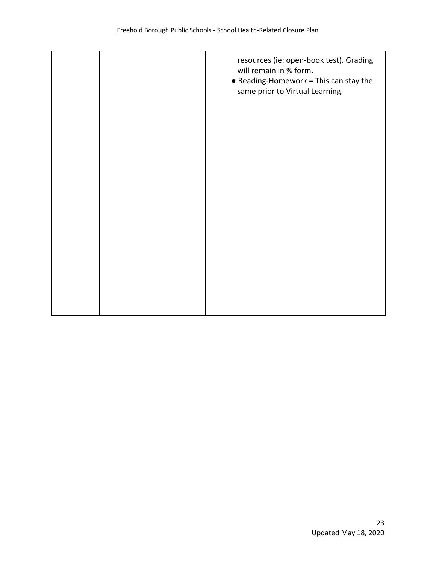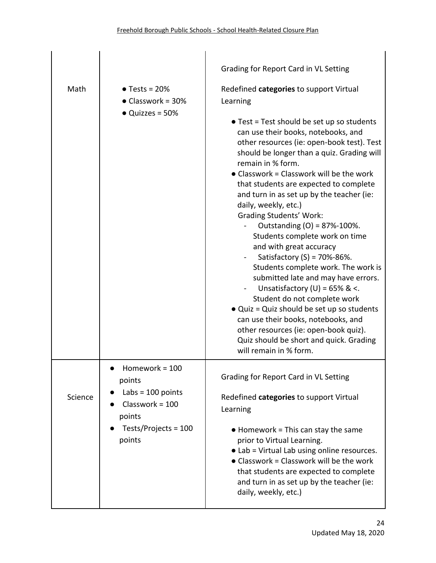|         |                                                                                                                    | Grading for Report Card in VL Setting                                                                                                                                                                                                                                                                                                                                                                                                                                                                                                                                                                                                                                                                                                                                                                                                                                                                                                  |
|---------|--------------------------------------------------------------------------------------------------------------------|----------------------------------------------------------------------------------------------------------------------------------------------------------------------------------------------------------------------------------------------------------------------------------------------------------------------------------------------------------------------------------------------------------------------------------------------------------------------------------------------------------------------------------------------------------------------------------------------------------------------------------------------------------------------------------------------------------------------------------------------------------------------------------------------------------------------------------------------------------------------------------------------------------------------------------------|
| Math    | $\bullet$ Tests = 20%<br>$\bullet$ Classwork = 30%<br>$\bullet$ Quizzes = 50%                                      | Redefined categories to support Virtual<br>Learning<br>• Test = Test should be set up so students<br>can use their books, notebooks, and<br>other resources (ie: open-book test). Test<br>should be longer than a quiz. Grading will<br>remain in % form.<br>• Classwork = Classwork will be the work<br>that students are expected to complete<br>and turn in as set up by the teacher (ie:<br>daily, weekly, etc.)<br><b>Grading Students' Work:</b><br>Outstanding (O) = 87%-100%.<br>Students complete work on time<br>and with great accuracy<br>Satisfactory (S) = 70%-86%.<br>Students complete work. The work is<br>submitted late and may have errors.<br>Unsatisfactory (U) = $65\%$ & <.<br>Student do not complete work<br>• Quiz = Quiz should be set up so students<br>can use their books, notebooks, and<br>other resources (ie: open-book quiz).<br>Quiz should be short and quick. Grading<br>will remain in % form. |
| Science | Homework = $100$<br>points<br>Labs = $100$ points<br>$Classwork = 100$<br>points<br>Tests/Projects = 100<br>points | Grading for Report Card in VL Setting<br>Redefined categories to support Virtual<br>Learning                                                                                                                                                                                                                                                                                                                                                                                                                                                                                                                                                                                                                                                                                                                                                                                                                                           |
|         |                                                                                                                    | $\bullet$ Homework = This can stay the same<br>prior to Virtual Learning.<br>• Lab = Virtual Lab using online resources.<br>• Classwork = Classwork will be the work<br>that students are expected to complete<br>and turn in as set up by the teacher (ie:<br>daily, weekly, etc.)                                                                                                                                                                                                                                                                                                                                                                                                                                                                                                                                                                                                                                                    |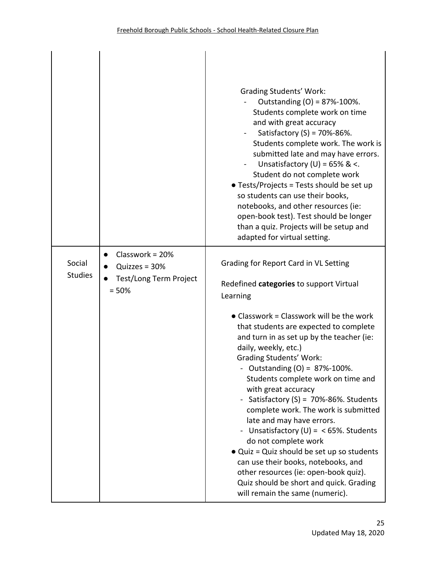|                          |                                                                           | <b>Grading Students' Work:</b><br>Outstanding $(O) = 87% - 100%$ .<br>Students complete work on time<br>and with great accuracy<br>Satisfactory $(S) = 70% - 86%$ .<br>Students complete work. The work is<br>submitted late and may have errors.<br>Unsatisfactory (U) = $65\%$ & <.<br>Student do not complete work<br>• Tests/Projects = Tests should be set up<br>so students can use their books,<br>notebooks, and other resources (ie:<br>open-book test). Test should be longer<br>than a quiz. Projects will be setup and<br>adapted for virtual setting.                                                                                                                                                                                                                                        |
|--------------------------|---------------------------------------------------------------------------|-----------------------------------------------------------------------------------------------------------------------------------------------------------------------------------------------------------------------------------------------------------------------------------------------------------------------------------------------------------------------------------------------------------------------------------------------------------------------------------------------------------------------------------------------------------------------------------------------------------------------------------------------------------------------------------------------------------------------------------------------------------------------------------------------------------|
| Social<br><b>Studies</b> | Classwork = $20%$<br>Quizzes = $30%$<br>Test/Long Term Project<br>$= 50%$ | Grading for Report Card in VL Setting<br>Redefined categories to support Virtual<br>Learning<br>• Classwork = Classwork will be the work<br>that students are expected to complete<br>and turn in as set up by the teacher (ie:<br>daily, weekly, etc.)<br><b>Grading Students' Work:</b><br>Outstanding (O) = 87%-100%.<br>Students complete work on time and<br>with great accuracy<br>Satisfactory (S) = $70\% - 86\%$ . Students<br>complete work. The work is submitted<br>late and may have errors.<br>Unsatisfactory (U) = $<$ 65%. Students<br>$\blacksquare$<br>do not complete work<br>• Quiz = Quiz should be set up so students<br>can use their books, notebooks, and<br>other resources (ie: open-book quiz).<br>Quiz should be short and quick. Grading<br>will remain the same (numeric). |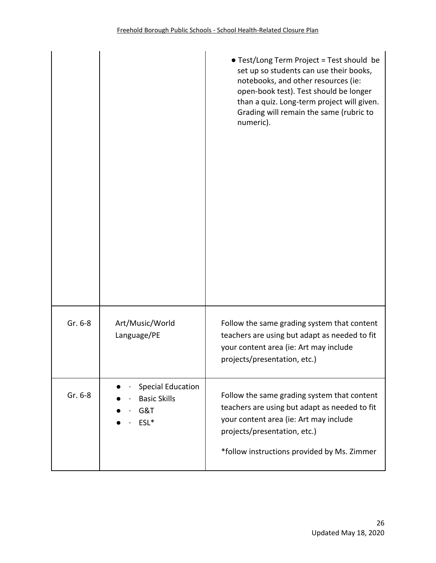|         |                                                                | • Test/Long Term Project = Test should be<br>set up so students can use their books,<br>notebooks, and other resources (ie:<br>open-book test). Test should be longer<br>than a quiz. Long-term project will given.<br>Grading will remain the same (rubric to<br>numeric). |
|---------|----------------------------------------------------------------|-----------------------------------------------------------------------------------------------------------------------------------------------------------------------------------------------------------------------------------------------------------------------------|
| Gr. 6-8 | Art/Music/World<br>Language/PE                                 | Follow the same grading system that content<br>teachers are using but adapt as needed to fit<br>your content area (ie: Art may include<br>projects/presentation, etc.)                                                                                                      |
| Gr. 6-8 | <b>Special Education</b><br><b>Basic Skills</b><br>G&T<br>ESL* | Follow the same grading system that content<br>teachers are using but adapt as needed to fit<br>your content area (ie: Art may include<br>projects/presentation, etc.)<br>*follow instructions provided by Ms. Zimmer                                                       |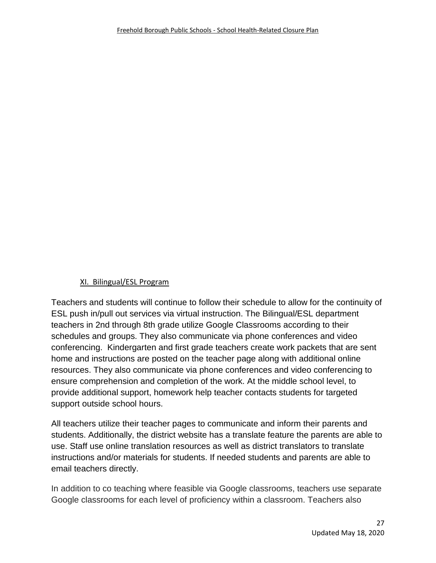## XI. Bilingual/ESL Program

Teachers and students will continue to follow their schedule to allow for the continuity of ESL push in/pull out services via virtual instruction. The Bilingual/ESL department teachers in 2nd through 8th grade utilize Google Classrooms according to their schedules and groups. They also communicate via phone conferences and video conferencing. Kindergarten and first grade teachers create work packets that are sent home and instructions are posted on the teacher page along with additional online resources. They also communicate via phone conferences and video conferencing to ensure comprehension and completion of the work. At the middle school level, to provide additional support, homework help teacher contacts students for targeted support outside school hours.

All teachers utilize their teacher pages to communicate and inform their parents and students. Additionally, the district website has a translate feature the parents are able to use. Staff use online translation resources as well as district translators to translate instructions and/or materials for students. If needed students and parents are able to email teachers directly.

In addition to co teaching where feasible via Google classrooms, teachers use separate Google classrooms for each level of proficiency within a classroom. Teachers also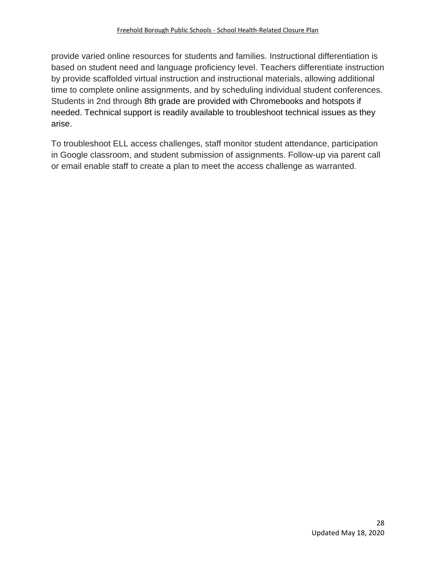provide varied online resources for students and families. Instructional differentiation is based on student need and language proficiency level. Teachers differentiate instruction by provide scaffolded virtual instruction and instructional materials, allowing additional time to complete online assignments, and by scheduling individual student conferences. Students in 2nd through 8th grade are provided with Chromebooks and hotspots if needed. Technical support is readily available to troubleshoot technical issues as they arise.

To troubleshoot ELL access challenges, staff monitor student attendance, participation in Google classroom, and student submission of assignments. Follow-up via parent call or email enable staff to create a plan to meet the access challenge as warranted.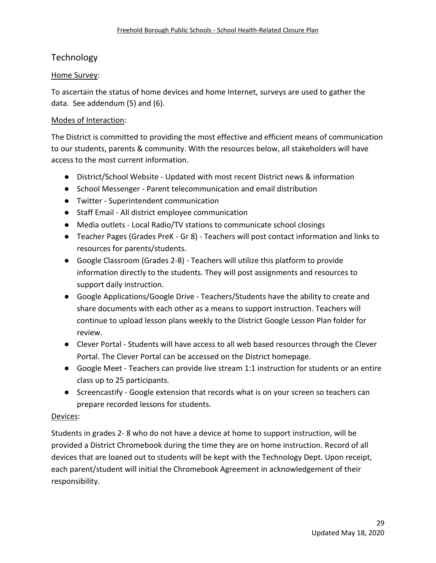# **Technology**

#### Home Survey:

To ascertain the status of home devices and home Internet, surveys are used to gather the data. See addendum (5) and (6).

#### Modes of Interaction:

The District is committed to providing the most effective and efficient means of communication to our students, parents & community. With the resources below, all stakeholders will have access to the most current information.

- District/School Website Updated with most recent District news & information
- School Messenger Parent telecommunication and email distribution
- Twitter Superintendent communication
- Staff Email All district employee communication
- Media outlets Local Radio/TV stations to communicate school closings
- Teacher Pages (Grades PreK Gr 8) Teachers will post contact information and links to resources for parents/students.
- Google Classroom (Grades 2-8) Teachers will utilize this platform to provide information directly to the students. They will post assignments and resources to support daily instruction.
- Google Applications/Google Drive Teachers/Students have the ability to create and share documents with each other as a means to support instruction. Teachers will continue to upload lesson plans weekly to the District Google Lesson Plan folder for review.
- Clever Portal Students will have access to all web based resources through the Clever Portal. The Clever Portal can be accessed on the District homepage.
- Google Meet Teachers can provide live stream 1:1 instruction for students or an entire class up to 25 participants.
- Screencastify Google extension that records what is on your screen so teachers can prepare recorded lessons for students.

#### Devices:

Students in grades 2- 8 who do not have a device at home to support instruction, will be provided a District Chromebook during the time they are on home instruction. Record of all devices that are loaned out to students will be kept with the Technology Dept. Upon receipt, each parent/student will initial the Chromebook Agreement in acknowledgement of their responsibility.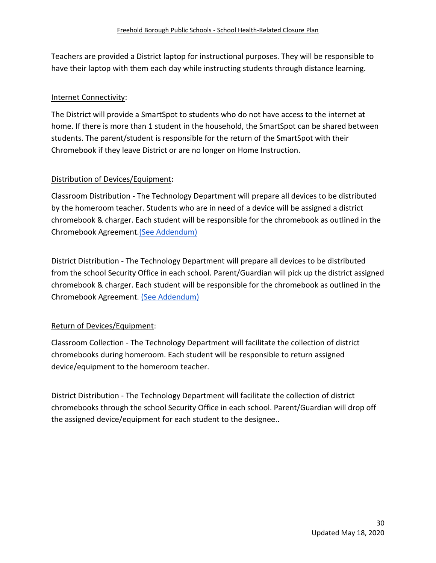Teachers are provided a District laptop for instructional purposes. They will be responsible to have their laptop with them each day while instructing students through distance learning.

## Internet Connectivity:

The District will provide a SmartSpot to students who do not have access to the internet at home. If there is more than 1 student in the household, the SmartSpot can be shared between students. The parent/student is responsible for the return of the SmartSpot with their Chromebook if they leave District or are no longer on Home Instruction.

## Distribution of Devices/Equipment:

Classroom Distribution - The Technology Department will prepare all devices to be distributed by the homeroom teacher. Students who are in need of a device will be assigned a district chromebook & charger. Each student will be responsible for the chromebook as outlined in the Chromebook Agreement[.\(See Addendum\)](https://drive.google.com/file/d/1Murtdull7glsSJb9zj_pUkzpnynZrTUO/view)

District Distribution - The Technology Department will prepare all devices to be distributed from the school Security Office in each school. Parent/Guardian will pick up the district assigned chromebook & charger. Each student will be responsible for the chromebook as outlined in the Chromebook Agreement. [\(See Addendum\)](https://drive.google.com/file/d/1Murtdull7glsSJb9zj_pUkzpnynZrTUO/view)

# Return of Devices/Equipment:

Classroom Collection - The Technology Department will facilitate the collection of district chromebooks during homeroom. Each student will be responsible to return assigned device/equipment to the homeroom teacher.

District Distribution - The Technology Department will facilitate the collection of district chromebooks through the school Security Office in each school. Parent/Guardian will drop off the assigned device/equipment for each student to the designee..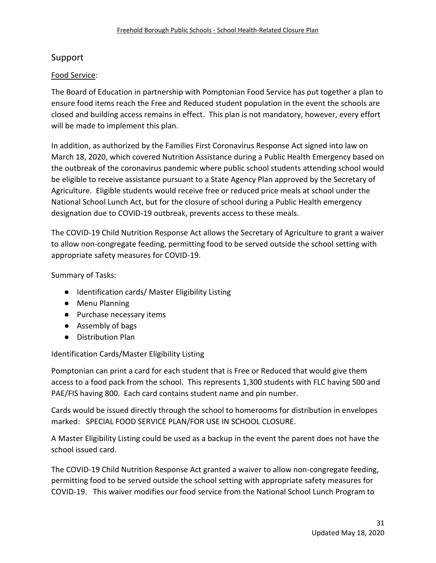# Support

## Food Service:

The Board of Education in partnership with Pomptonian Food Service has put together a plan to ensure food items reach the Free and Reduced student population in the event the schools are closed and building access remains in effect. This plan is not mandatory, however, every effort will be made to implement this plan.

In addition, as authorized by the Families First Coronavirus Response Act signed into law on March 18, 2020, which covered Nutrition Assistance during a Public Health Emergency based on the outbreak of the coronavirus pandemic where public school students attending school would be eligible to receive assistance pursuant to a State Agency Plan approved by the Secretary of Agriculture. Eligible students would receive free or reduced price meals at school under the National School Lunch Act, but for the closure of school during a Public Health emergency designation due to COVID-19 outbreak, prevents access to these meals.

The COVID-19 Child Nutrition Response Act allows the Secretary of Agriculture to grant a waiver to allow non-congregate feeding, permitting food to be served outside the school setting with appropriate safety measures for COVID-19.

Summary of Tasks:

- Identification cards/ Master Eligibility Listing
- Menu Planning
- Purchase necessary items
- Assembly of bags
- Distribution Plan

Identification Cards/Master Eligibility Listing

Pomptonian can print a card for each student that is Free or Reduced that would give them access to a food pack from the school. This represents 1,300 students with FLC having 500 and PAE/FIS having 800. Each card contains student name and pin number.

Cards would be issued directly through the school to homerooms for distribution in envelopes marked: SPECIAL FOOD SERVICE PLAN/FOR USE IN SCHOOL CLOSURE.

A Master Eligibility Listing could be used as a backup in the event the parent does not have the school issued card.

The COVID-19 Child Nutrition Response Act granted a waiver to allow non-congregate feeding, permitting food to be served outside the school setting with appropriate safety measures for COVID-19. This waiver modifies our food service from the National School Lunch Program to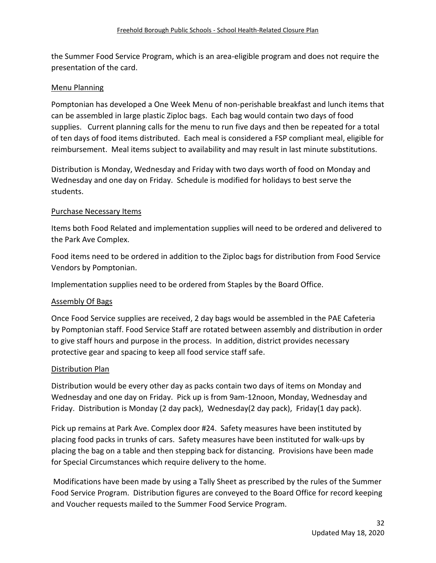the Summer Food Service Program, which is an area-eligible program and does not require the presentation of the card.

## Menu Planning

Pomptonian has developed a One Week Menu of non-perishable breakfast and lunch items that can be assembled in large plastic Ziploc bags. Each bag would contain two days of food supplies. Current planning calls for the menu to run five days and then be repeated for a total of ten days of food items distributed. Each meal is considered a FSP compliant meal, eligible for reimbursement. Meal items subject to availability and may result in last minute substitutions.

Distribution is Monday, Wednesday and Friday with two days worth of food on Monday and Wednesday and one day on Friday. Schedule is modified for holidays to best serve the students.

#### Purchase Necessary Items

Items both Food Related and implementation supplies will need to be ordered and delivered to the Park Ave Complex.

Food items need to be ordered in addition to the Ziploc bags for distribution from Food Service Vendors by Pomptonian.

Implementation supplies need to be ordered from Staples by the Board Office.

#### Assembly Of Bags

Once Food Service supplies are received, 2 day bags would be assembled in the PAE Cafeteria by Pomptonian staff. Food Service Staff are rotated between assembly and distribution in order to give staff hours and purpose in the process. In addition, district provides necessary protective gear and spacing to keep all food service staff safe.

#### Distribution Plan

Distribution would be every other day as packs contain two days of items on Monday and Wednesday and one day on Friday. Pick up is from 9am-12noon, Monday, Wednesday and Friday. Distribution is Monday (2 day pack), Wednesday(2 day pack), Friday(1 day pack).

Pick up remains at Park Ave. Complex door #24. Safety measures have been instituted by placing food packs in trunks of cars. Safety measures have been instituted for walk-ups by placing the bag on a table and then stepping back for distancing. Provisions have been made for Special Circumstances which require delivery to the home.

Modifications have been made by using a Tally Sheet as prescribed by the rules of the Summer Food Service Program. Distribution figures are conveyed to the Board Office for record keeping and Voucher requests mailed to the Summer Food Service Program.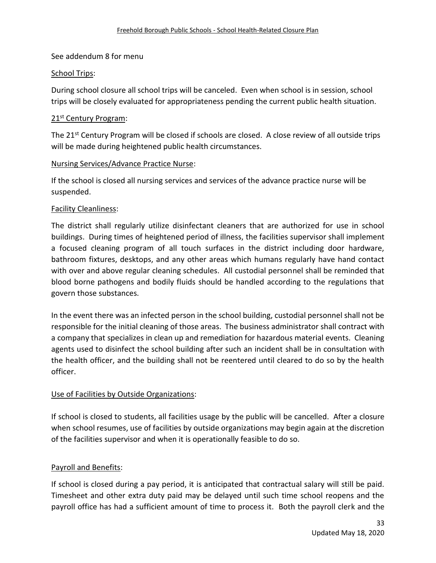#### See addendum 8 for menu

#### School Trips:

During school closure all school trips will be canceled. Even when school is in session, school trips will be closely evaluated for appropriateness pending the current public health situation.

#### 21<sup>st</sup> Century Program:

The 21<sup>st</sup> Century Program will be closed if schools are closed. A close review of all outside trips will be made during heightened public health circumstances.

#### Nursing Services/Advance Practice Nurse:

If the school is closed all nursing services and services of the advance practice nurse will be suspended.

#### Facility Cleanliness:

The district shall regularly utilize disinfectant cleaners that are authorized for use in school buildings. During times of heightened period of illness, the facilities supervisor shall implement a focused cleaning program of all touch surfaces in the district including door hardware, bathroom fixtures, desktops, and any other areas which humans regularly have hand contact with over and above regular cleaning schedules. All custodial personnel shall be reminded that blood borne pathogens and bodily fluids should be handled according to the regulations that govern those substances.

In the event there was an infected person in the school building, custodial personnel shall not be responsible for the initial cleaning of those areas. The business administrator shall contract with a company that specializes in clean up and remediation for hazardous material events. Cleaning agents used to disinfect the school building after such an incident shall be in consultation with the health officer, and the building shall not be reentered until cleared to do so by the health officer.

#### Use of Facilities by Outside Organizations:

If school is closed to students, all facilities usage by the public will be cancelled. After a closure when school resumes, use of facilities by outside organizations may begin again at the discretion of the facilities supervisor and when it is operationally feasible to do so.

#### Payroll and Benefits:

If school is closed during a pay period, it is anticipated that contractual salary will still be paid. Timesheet and other extra duty paid may be delayed until such time school reopens and the payroll office has had a sufficient amount of time to process it. Both the payroll clerk and the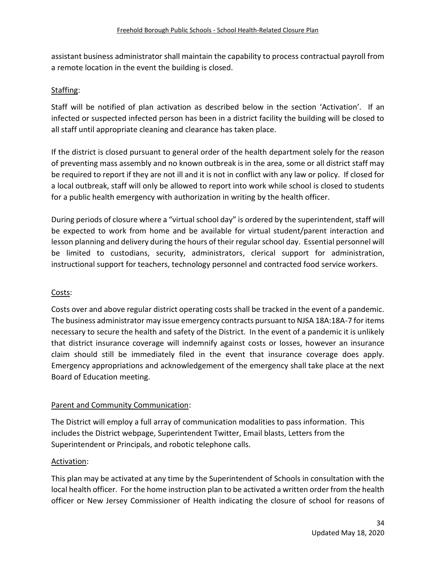assistant business administrator shall maintain the capability to process contractual payroll from a remote location in the event the building is closed.

#### Staffing:

Staff will be notified of plan activation as described below in the section 'Activation'. If an infected or suspected infected person has been in a district facility the building will be closed to all staff until appropriate cleaning and clearance has taken place.

If the district is closed pursuant to general order of the health department solely for the reason of preventing mass assembly and no known outbreak is in the area, some or all district staff may be required to report if they are not ill and it is not in conflict with any law or policy. If closed for a local outbreak, staff will only be allowed to report into work while school is closed to students for a public health emergency with authorization in writing by the health officer.

During periods of closure where a "virtual school day" is ordered by the superintendent, staff will be expected to work from home and be available for virtual student/parent interaction and lesson planning and delivery during the hours of their regular school day. Essential personnel will be limited to custodians, security, administrators, clerical support for administration, instructional support for teachers, technology personnel and contracted food service workers.

#### Costs:

Costs over and above regular district operating costs shall be tracked in the event of a pandemic. The business administrator may issue emergency contracts pursuant to NJSA 18A:18A-7 for items necessary to secure the health and safety of the District. In the event of a pandemic it is unlikely that district insurance coverage will indemnify against costs or losses, however an insurance claim should still be immediately filed in the event that insurance coverage does apply. Emergency appropriations and acknowledgement of the emergency shall take place at the next Board of Education meeting.

#### Parent and Community Communication:

The District will employ a full array of communication modalities to pass information. This includes the District webpage, Superintendent Twitter, Email blasts, Letters from the Superintendent or Principals, and robotic telephone calls.

#### Activation:

This plan may be activated at any time by the Superintendent of Schools in consultation with the local health officer. For the home instruction plan to be activated a written order from the health officer or New Jersey Commissioner of Health indicating the closure of school for reasons of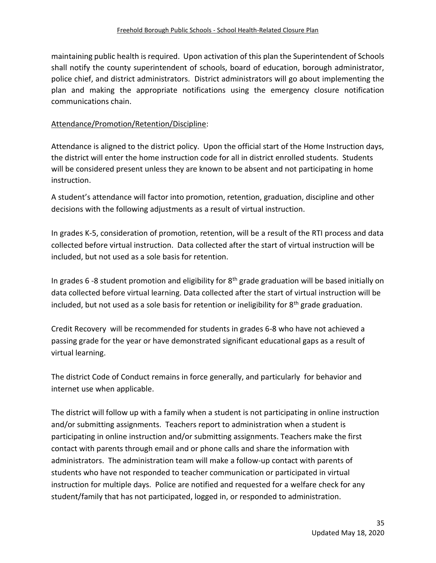maintaining public health is required. Upon activation of this plan the Superintendent of Schools shall notify the county superintendent of schools, board of education, borough administrator, police chief, and district administrators. District administrators will go about implementing the plan and making the appropriate notifications using the emergency closure notification communications chain.

#### Attendance/Promotion/Retention/Discipline:

Attendance is aligned to the district policy. Upon the official start of the Home Instruction days, the district will enter the home instruction code for all in district enrolled students. Students will be considered present unless they are known to be absent and not participating in home instruction.

A student's attendance will factor into promotion, retention, graduation, discipline and other decisions with the following adjustments as a result of virtual instruction.

In grades K-5, consideration of promotion, retention, will be a result of the RTI process and data collected before virtual instruction. Data collected after the start of virtual instruction will be included, but not used as a sole basis for retention.

In grades 6 -8 student promotion and eligibility for  $8<sup>th</sup>$  grade graduation will be based initially on data collected before virtual learning. Data collected after the start of virtual instruction will be included, but not used as a sole basis for retention or ineligibility for  $8<sup>th</sup>$  grade graduation.

Credit Recovery will be recommended for students in grades 6-8 who have not achieved a passing grade for the year or have demonstrated significant educational gaps as a result of virtual learning.

The district Code of Conduct remains in force generally, and particularly for behavior and internet use when applicable.

The district will follow up with a family when a student is not participating in online instruction and/or submitting assignments. Teachers report to administration when a student is participating in online instruction and/or submitting assignments. Teachers make the first contact with parents through email and or phone calls and share the information with administrators. The administration team will make a follow-up contact with parents of students who have not responded to teacher communication or participated in virtual instruction for multiple days. Police are notified and requested for a welfare check for any student/family that has not participated, logged in, or responded to administration.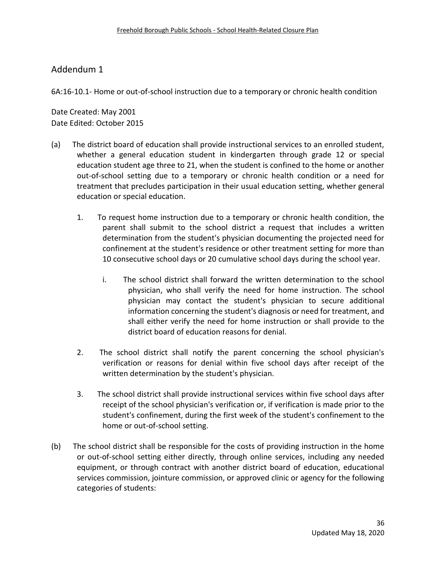6A:16-10.1- Home or out-of-school instruction due to a temporary or chronic health condition

Date Created: May 2001 Date Edited: October 2015

- (a) The district board of education shall provide instructional services to an enrolled student, whether a general education student in kindergarten through grade 12 or special education student age three to 21, when the student is confined to the home or another out-of-school setting due to a temporary or chronic health condition or a need for treatment that precludes participation in their usual education setting, whether general education or special education.
	- 1. To request home instruction due to a temporary or chronic health condition, the parent shall submit to the school district a request that includes a written determination from the student's physician documenting the projected need for confinement at the student's residence or other treatment setting for more than 10 consecutive school days or 20 cumulative school days during the school year.
		- i. The school district shall forward the written determination to the school physician, who shall verify the need for home instruction. The school physician may contact the student's physician to secure additional information concerning the student's diagnosis or need for treatment, and shall either verify the need for home instruction or shall provide to the district board of education reasons for denial.
	- 2. The school district shall notify the parent concerning the school physician's verification or reasons for denial within five school days after receipt of the written determination by the student's physician.
	- 3. The school district shall provide instructional services within five school days after receipt of the school physician's verification or, if verification is made prior to the student's confinement, during the first week of the student's confinement to the home or out-of-school setting.
- (b) The school district shall be responsible for the costs of providing instruction in the home or out-of-school setting either directly, through online services, including any needed equipment, or through contract with another district board of education, educational services commission, jointure commission, or approved clinic or agency for the following categories of students: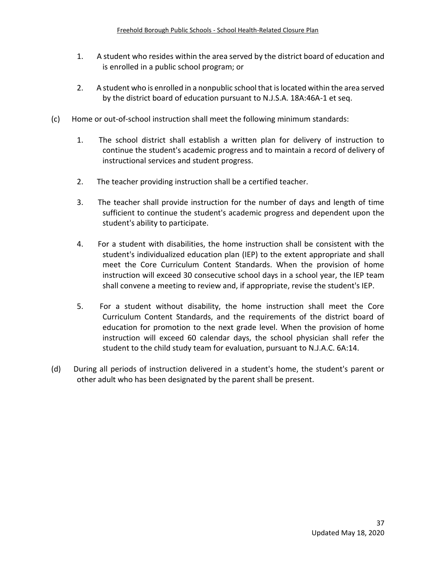- 1. A student who resides within the area served by the district board of education and is enrolled in a public school program; or
- 2. A student who is enrolled in a nonpublic school that is located within the area served by the district board of education pursuant to N.J.S.A. 18A:46A-1 et seq.
- (c) Home or out-of-school instruction shall meet the following minimum standards:
	- 1. The school district shall establish a written plan for delivery of instruction to continue the student's academic progress and to maintain a record of delivery of instructional services and student progress.
	- 2. The teacher providing instruction shall be a certified teacher.
	- 3. The teacher shall provide instruction for the number of days and length of time sufficient to continue the student's academic progress and dependent upon the student's ability to participate.
	- 4. For a student with disabilities, the home instruction shall be consistent with the student's individualized education plan (IEP) to the extent appropriate and shall meet the Core Curriculum Content Standards. When the provision of home instruction will exceed 30 consecutive school days in a school year, the IEP team shall convene a meeting to review and, if appropriate, revise the student's IEP.
	- 5. For a student without disability, the home instruction shall meet the Core Curriculum Content Standards, and the requirements of the district board of education for promotion to the next grade level. When the provision of home instruction will exceed 60 calendar days, the school physician shall refer the student to the child study team for evaluation, pursuant to N.J.A.C. 6A:14.
- (d) During all periods of instruction delivered in a student's home, the student's parent or other adult who has been designated by the parent shall be present.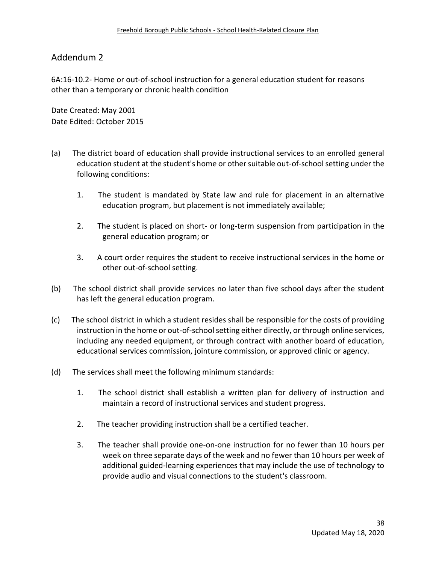6A:16-10.2- Home or out-of-school instruction for a general education student for reasons other than a temporary or chronic health condition

Date Created: May 2001 Date Edited: October 2015

- (a) The district board of education shall provide instructional services to an enrolled general education student at the student's home or other suitable out-of-school setting under the following conditions:
	- 1. The student is mandated by State law and rule for placement in an alternative education program, but placement is not immediately available;
	- 2. The student is placed on short- or long-term suspension from participation in the general education program; or
	- 3. A court order requires the student to receive instructional services in the home or other out-of-school setting.
- (b) The school district shall provide services no later than five school days after the student has left the general education program.
- (c) The school district in which a student resides shall be responsible for the costs of providing instruction in the home or out-of-school setting either directly, or through online services, including any needed equipment, or through contract with another board of education, educational services commission, jointure commission, or approved clinic or agency.
- (d) The services shall meet the following minimum standards:
	- 1. The school district shall establish a written plan for delivery of instruction and maintain a record of instructional services and student progress.
	- 2. The teacher providing instruction shall be a certified teacher.
	- 3. The teacher shall provide one-on-one instruction for no fewer than 10 hours per week on three separate days of the week and no fewer than 10 hours per week of additional guided-learning experiences that may include the use of technology to provide audio and visual connections to the student's classroom.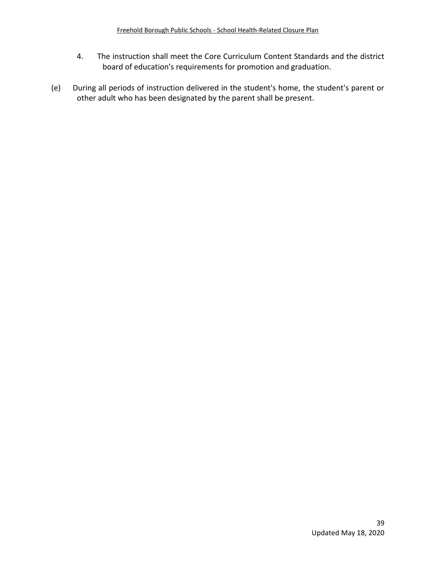- 4. The instruction shall meet the Core Curriculum Content Standards and the district board of education's requirements for promotion and graduation.
- (e) During all periods of instruction delivered in the student's home, the student's parent or other adult who has been designated by the parent shall be present.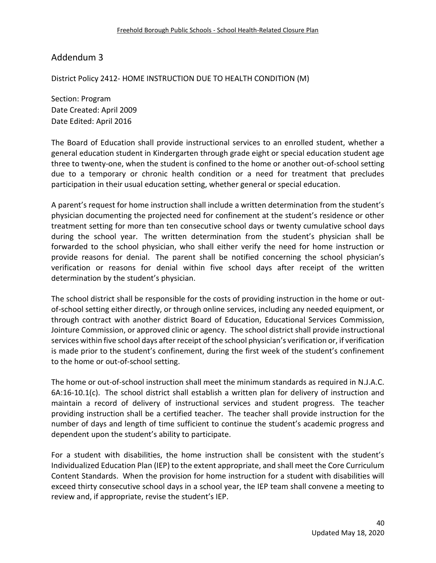District Policy 2412- HOME INSTRUCTION DUE TO HEALTH CONDITION (M)

Section: Program Date Created: April 2009 Date Edited: April 2016

The Board of Education shall provide instructional services to an enrolled student, whether a general education student in Kindergarten through grade eight or special education student age three to twenty-one, when the student is confined to the home or another out-of-school setting due to a temporary or chronic health condition or a need for treatment that precludes participation in their usual education setting, whether general or special education.

A parent's request for home instruction shall include a written determination from the student's physician documenting the projected need for confinement at the student's residence or other treatment setting for more than ten consecutive school days or twenty cumulative school days during the school year. The written determination from the student's physician shall be forwarded to the school physician, who shall either verify the need for home instruction or provide reasons for denial. The parent shall be notified concerning the school physician's verification or reasons for denial within five school days after receipt of the written determination by the student's physician.

The school district shall be responsible for the costs of providing instruction in the home or outof-school setting either directly, or through online services, including any needed equipment, or through contract with another district Board of Education, Educational Services Commission, Jointure Commission, or approved clinic or agency. The school district shall provide instructional services within five school days after receipt of the school physician's verification or, if verification is made prior to the student's confinement, during the first week of the student's confinement to the home or out-of-school setting.

The home or out-of-school instruction shall meet the minimum standards as required in N.J.A.C. 6A:16-10.1(c). The school district shall establish a written plan for delivery of instruction and maintain a record of delivery of instructional services and student progress. The teacher providing instruction shall be a certified teacher. The teacher shall provide instruction for the number of days and length of time sufficient to continue the student's academic progress and dependent upon the student's ability to participate.

For a student with disabilities, the home instruction shall be consistent with the student's Individualized Education Plan (IEP) to the extent appropriate, and shall meet the Core Curriculum Content Standards. When the provision for home instruction for a student with disabilities will exceed thirty consecutive school days in a school year, the IEP team shall convene a meeting to review and, if appropriate, revise the student's IEP.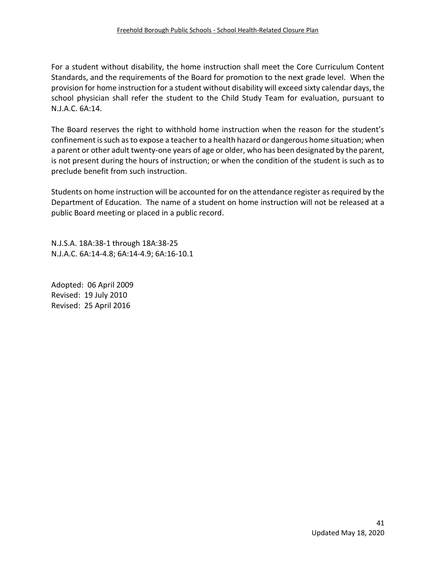For a student without disability, the home instruction shall meet the Core Curriculum Content Standards, and the requirements of the Board for promotion to the next grade level. When the provision for home instruction for a student without disability will exceed sixty calendar days, the school physician shall refer the student to the Child Study Team for evaluation, pursuant to N.J.A.C. 6A:14.

The Board reserves the right to withhold home instruction when the reason for the student's confinement is such as to expose a teacher to a health hazard or dangerous home situation; when a parent or other adult twenty-one years of age or older, who has been designated by the parent, is not present during the hours of instruction; or when the condition of the student is such as to preclude benefit from such instruction.

Students on home instruction will be accounted for on the attendance register as required by the Department of Education. The name of a student on home instruction will not be released at a public Board meeting or placed in a public record.

N.J.S.A. 18A:38-1 through 18A:38-25 N.J.A.C. 6A:14-4.8; 6A:14-4.9; 6A:16-10.1

Adopted: 06 April 2009 Revised: 19 July 2010 Revised: 25 April 2016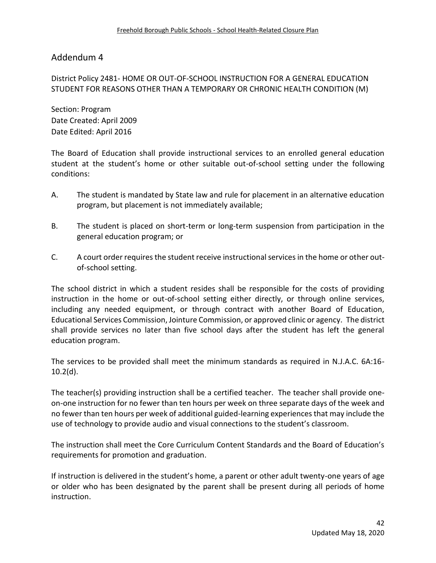District Policy 2481- HOME OR OUT-OF-SCHOOL INSTRUCTION FOR A GENERAL EDUCATION STUDENT FOR REASONS OTHER THAN A TEMPORARY OR CHRONIC HEALTH CONDITION (M)

Section: Program Date Created: April 2009 Date Edited: April 2016

The Board of Education shall provide instructional services to an enrolled general education student at the student's home or other suitable out-of-school setting under the following conditions:

- A. The student is mandated by State law and rule for placement in an alternative education program, but placement is not immediately available;
- B. The student is placed on short-term or long-term suspension from participation in the general education program; or
- C. A court order requires the student receive instructional services in the home or other outof-school setting.

The school district in which a student resides shall be responsible for the costs of providing instruction in the home or out-of-school setting either directly, or through online services, including any needed equipment, or through contract with another Board of Education, Educational Services Commission, Jointure Commission, or approved clinic or agency. The district shall provide services no later than five school days after the student has left the general education program.

The services to be provided shall meet the minimum standards as required in N.J.A.C. 6A:16-  $10.2(d)$ .

The teacher(s) providing instruction shall be a certified teacher. The teacher shall provide oneon-one instruction for no fewer than ten hours per week on three separate days of the week and no fewer than ten hours per week of additional guided-learning experiences that may include the use of technology to provide audio and visual connections to the student's classroom.

The instruction shall meet the Core Curriculum Content Standards and the Board of Education's requirements for promotion and graduation.

If instruction is delivered in the student's home, a parent or other adult twenty-one years of age or older who has been designated by the parent shall be present during all periods of home instruction.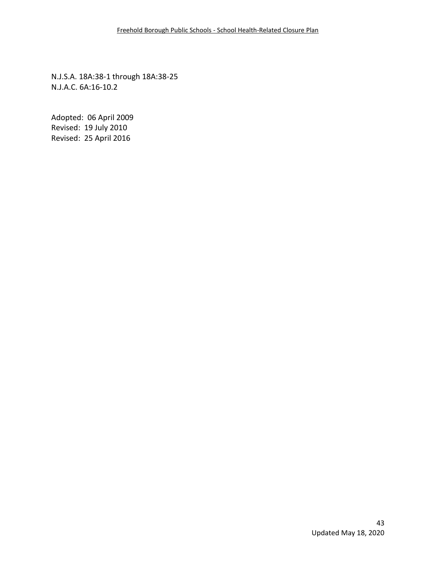N.J.S.A. 18A:38-1 through 18A:38-25 N.J.A.C. 6A:16-10.2

Adopted: 06 April 2009 Revised: 19 July 2010 Revised: 25 April 2016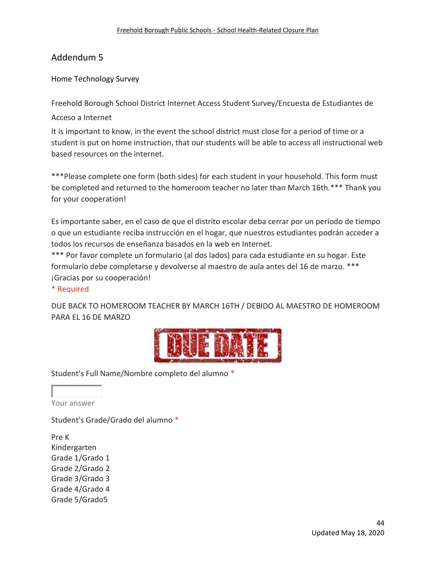Home Technology Survey

Freehold Borough School District Internet Access Student Survey/Encuesta de Estudiantes de

Acceso a Internet

It is important to know, in the event the school district must close for a period of time or a student is put on home instruction, that our students will be able to access all instructional web based resources on the internet.

\*\*\*Please complete one form (both sides) for each student in your household. This form must be completed and returned to the homeroom teacher no later than March 16th.\*\*\* Thank you for your cooperation!

Es importante saber, en el caso de que el distrito escolar deba cerrar por un período de tiempo o que un estudiante reciba instrucción en el hogar, que nuestros estudiantes podrán acceder a todos los recursos de enseñanza basados en la web en Internet.

\*\*\* Por favor complete un formulario (al dos lados) para cada estudiante en su hogar. Este formulario debe completarse y devolverse al maestro de aula antes del 16 de marzo. \*\*\* ¡Gracias por su cooperación!

#### \* Required

DUE BACK TO HOMEROOM TEACHER BY MARCH 16TH / DEBIDO AL MAESTRO DE HOMEROOM PARA EL 16 DE MARZO



Student's Full Name/Nombre completo del alumno \*

Your answer

Student's Grade/Grado del alumno \*

Pre K Kindergarten Grade 1/Grado 1 Grade 2/Grado 2 Grade 3/Grado 3 Grade 4/Grado 4 Grade 5/Grado5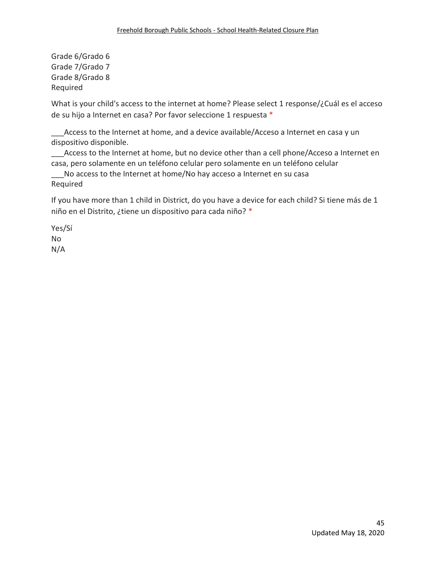Grade 6/Grado 6 Grade 7/Grado 7 Grade 8/Grado 8 Required

What is your child's access to the internet at home? Please select 1 response/¿Cuál es el acceso de su hijo a Internet en casa? Por favor seleccione 1 respuesta \*

Access to the Internet at home, and a device available/Acceso a Internet en casa y un dispositivo disponible.

Access to the Internet at home, but no device other than a cell phone/Acceso a Internet en casa, pero solamente en un teléfono celular pero solamente en un teléfono celular

No access to the Internet at home/No hay acceso a Internet en su casa Required

If you have more than 1 child in District, do you have a device for each child? Si tiene más de 1 niño en el Distrito, ¿tiene un dispositivo para cada niño? \*

Yes/Sí No N/A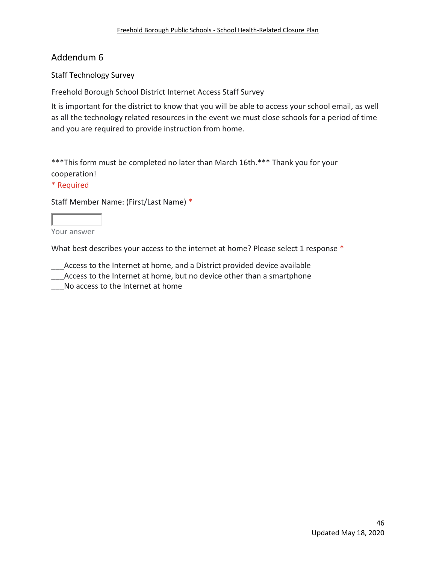#### Staff Technology Survey

Freehold Borough School District Internet Access Staff Survey

It is important for the district to know that you will be able to access your school email, as well as all the technology related resources in the event we must close schools for a period of time and you are required to provide instruction from home.

\*\*\*This form must be completed no later than March 16th.\*\*\* Thank you for your cooperation!

#### \* Required

Staff Member Name: (First/Last Name) \*

Your answer

What best describes your access to the internet at home? Please select 1 response \*

Access to the Internet at home, and a District provided device available

\_\_\_Access to the Internet at home, but no device other than a smartphone

No access to the Internet at home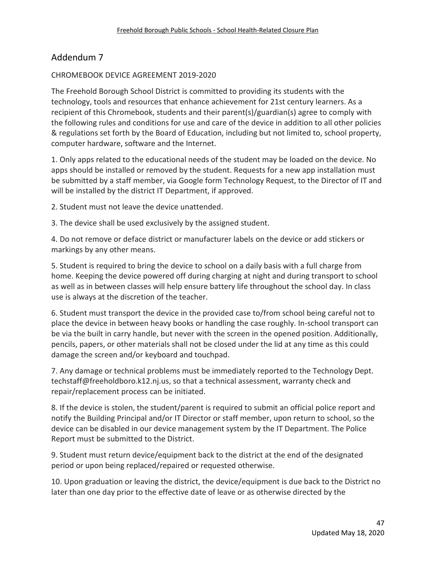#### CHROMEBOOK DEVICE AGREEMENT 2019-2020

The Freehold Borough School District is committed to providing its students with the technology, tools and resources that enhance achievement for 21st century learners. As a recipient of this Chromebook, students and their parent(s)/guardian(s) agree to comply with the following rules and conditions for use and care of the device in addition to all other policies & regulations set forth by the Board of Education, including but not limited to, school property, computer hardware, software and the Internet.

1. Only apps related to the educational needs of the student may be loaded on the device. No apps should be installed or removed by the student. Requests for a new app installation must be submitted by a staff member, via Google form Technology Request, to the Director of IT and will be installed by the district IT Department, if approved.

2. Student must not leave the device unattended.

3. The device shall be used exclusively by the assigned student.

4. Do not remove or deface district or manufacturer labels on the device or add stickers or markings by any other means.

5. Student is required to bring the device to school on a daily basis with a full charge from home. Keeping the device powered off during charging at night and during transport to school as well as in between classes will help ensure battery life throughout the school day. In class use is always at the discretion of the teacher.

6. Student must transport the device in the provided case to/from school being careful not to place the device in between heavy books or handling the case roughly. In-school transport can be via the built in carry handle, but never with the screen in the opened position. Additionally, pencils, papers, or other materials shall not be closed under the lid at any time as this could damage the screen and/or keyboard and touchpad.

7. Any damage or technical problems must be immediately reported to the Technology Dept. techstaff@freeholdboro.k12.nj.us, so that a technical assessment, warranty check and repair/replacement process can be initiated.

8. If the device is stolen, the student/parent is required to submit an official police report and notify the Building Principal and/or IT Director or staff member, upon return to school, so the device can be disabled in our device management system by the IT Department. The Police Report must be submitted to the District.

9. Student must return device/equipment back to the district at the end of the designated period or upon being replaced/repaired or requested otherwise.

10. Upon graduation or leaving the district, the device/equipment is due back to the District no later than one day prior to the effective date of leave or as otherwise directed by the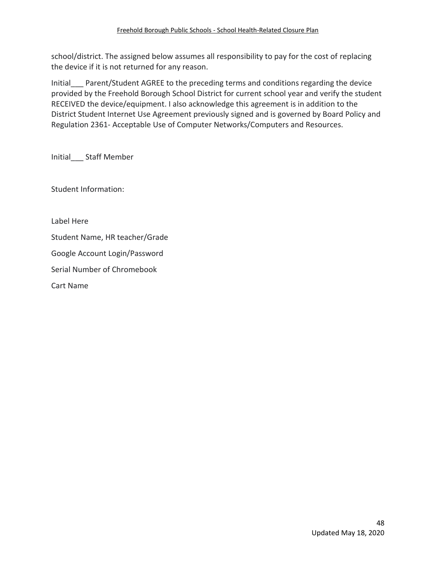school/district. The assigned below assumes all responsibility to pay for the cost of replacing the device if it is not returned for any reason.

Initial Parent/Student AGREE to the preceding terms and conditions regarding the device provided by the Freehold Borough School District for current school year and verify the student RECEIVED the device/equipment. I also acknowledge this agreement is in addition to the District Student Internet Use Agreement previously signed and is governed by Board Policy and Regulation 2361- Acceptable Use of Computer Networks/Computers and Resources.

Initial\_\_\_ Staff Member

Student Information:

Label Here

Student Name, HR teacher/Grade

Google Account Login/Password

Serial Number of Chromebook

Cart Name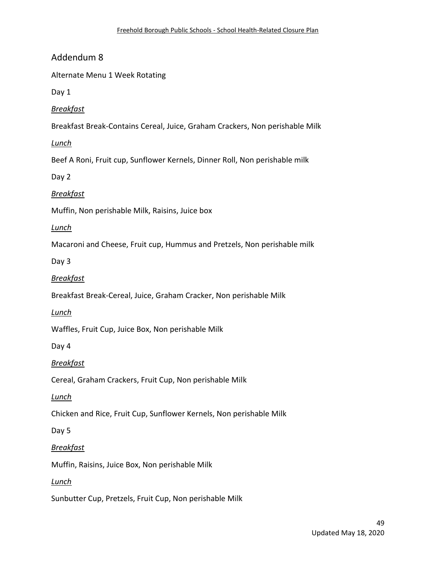Alternate Menu 1 Week Rotating

Day 1

*Breakfast*

Breakfast Break-Contains Cereal, Juice, Graham Crackers, Non perishable Milk

*Lunch*

Beef A Roni, Fruit cup, Sunflower Kernels, Dinner Roll, Non perishable milk

Day 2

*Breakfast*

Muffin, Non perishable Milk, Raisins, Juice box

*Lunch*

Macaroni and Cheese, Fruit cup, Hummus and Pretzels, Non perishable milk

Day 3

*Breakfast*

Breakfast Break-Cereal, Juice, Graham Cracker, Non perishable Milk

*Lunch*

Waffles, Fruit Cup, Juice Box, Non perishable Milk

Day 4

*Breakfast*

Cereal, Graham Crackers, Fruit Cup, Non perishable Milk

*Lunch*

Chicken and Rice, Fruit Cup, Sunflower Kernels, Non perishable Milk

Day 5

#### *Breakfast*

Muffin, Raisins, Juice Box, Non perishable Milk

*Lunch*

Sunbutter Cup, Pretzels, Fruit Cup, Non perishable Milk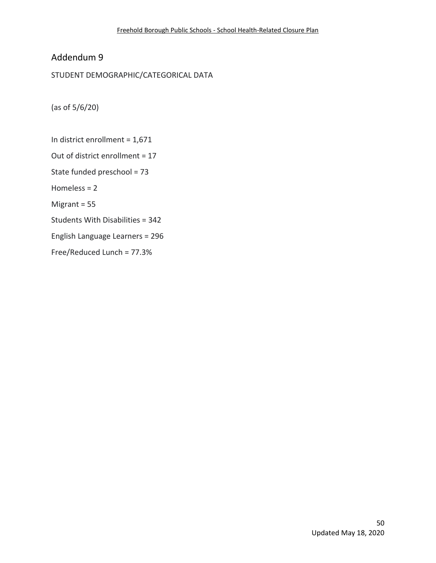STUDENT DEMOGRAPHIC/CATEGORICAL DATA

(as of 5/6/20)

In district enrollment = 1,671 Out of district enrollment = 17 State funded preschool = 73 Homeless = 2 Migrant = 55 Students With Disabilities = 342 English Language Learners = 296 Free/Reduced Lunch = 77.3%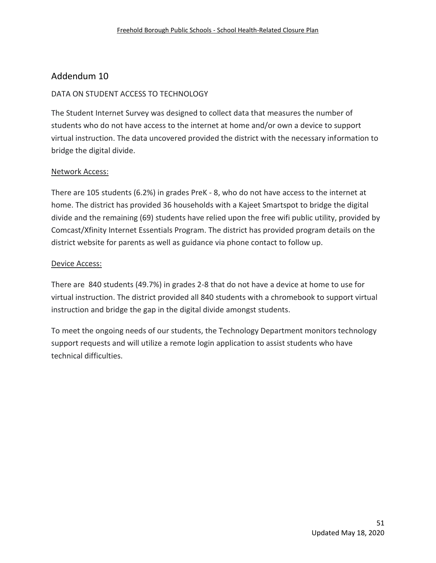#### DATA ON STUDENT ACCESS TO TECHNOLOGY

The Student Internet Survey was designed to collect data that measures the number of students who do not have access to the internet at home and/or own a device to support virtual instruction. The data uncovered provided the district with the necessary information to bridge the digital divide.

#### Network Access:

There are 105 students (6.2%) in grades PreK - 8, who do not have access to the internet at home. The district has provided 36 households with a Kajeet Smartspot to bridge the digital divide and the remaining (69) students have relied upon the free wifi public utility, provided by Comcast/Xfinity Internet Essentials Program. The district has provided program details on the district website for parents as well as guidance via phone contact to follow up.

#### Device Access:

There are 840 students (49.7%) in grades 2-8 that do not have a device at home to use for virtual instruction. The district provided all 840 students with a chromebook to support virtual instruction and bridge the gap in the digital divide amongst students.

To meet the ongoing needs of our students, the Technology Department monitors technology support requests and will utilize a remote login application to assist students who have technical difficulties.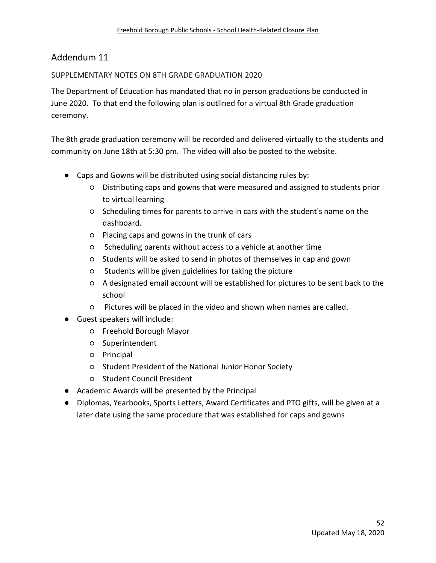## SUPPLEMENTARY NOTES ON 8TH GRADE GRADUATION 2020

The Department of Education has mandated that no in person graduations be conducted in June 2020. To that end the following plan is outlined for a virtual 8th Grade graduation ceremony.

The 8th grade graduation ceremony will be recorded and delivered virtually to the students and community on June 18th at 5:30 pm. The video will also be posted to the website.

- Caps and Gowns will be distributed using social distancing rules by:
	- Distributing caps and gowns that were measured and assigned to students prior to virtual learning
	- Scheduling times for parents to arrive in cars with the student's name on the dashboard.
	- Placing caps and gowns in the trunk of cars
	- Scheduling parents without access to a vehicle at another time
	- Students will be asked to send in photos of themselves in cap and gown
	- Students will be given guidelines for taking the picture
	- A designated email account will be established for pictures to be sent back to the school
	- Pictures will be placed in the video and shown when names are called.
- Guest speakers will include:
	- Freehold Borough Mayor
	- Superintendent
	- Principal
	- Student President of the National Junior Honor Society
	- Student Council President
- Academic Awards will be presented by the Principal
- Diplomas, Yearbooks, Sports Letters, Award Certificates and PTO gifts, will be given at a later date using the same procedure that was established for caps and gowns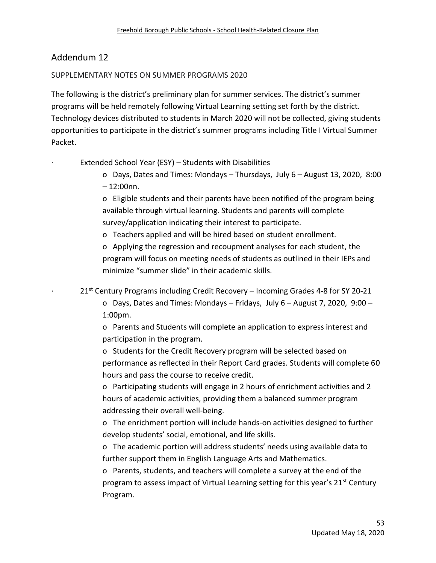#### SUPPLEMENTARY NOTES ON SUMMER PROGRAMS 2020

The following is the district's preliminary plan for summer services. The district's summer programs will be held remotely following Virtual Learning setting set forth by the district. Technology devices distributed to students in March 2020 will not be collected, giving students opportunities to participate in the district's summer programs including Title I Virtual Summer Packet.

Extended School Year (ESY) – Students with Disabilities

o Days, Dates and Times: Mondays – Thursdays, July 6 – August 13, 2020, 8:00  $-12:00$ nn.

o Eligible students and their parents have been notified of the program being available through virtual learning. Students and parents will complete survey/application indicating their interest to participate.

o Teachers applied and will be hired based on student enrollment.

o Applying the regression and recoupment analyses for each student, the program will focus on meeting needs of students as outlined in their IEPs and minimize "summer slide" in their academic skills.

 $21<sup>st</sup>$  Century Programs including Credit Recovery – Incoming Grades 4-8 for SY 20-21

o Days, Dates and Times: Mondays – Fridays, July 6 – August 7, 2020, 9:00 – 1:00pm.

o Parents and Students will complete an application to express interest and participation in the program.

o Students for the Credit Recovery program will be selected based on performance as reflected in their Report Card grades. Students will complete 60 hours and pass the course to receive credit.

o Participating students will engage in 2 hours of enrichment activities and 2 hours of academic activities, providing them a balanced summer program addressing their overall well-being.

o The enrichment portion will include hands-on activities designed to further develop students' social, emotional, and life skills.

o The academic portion will address students' needs using available data to further support them in English Language Arts and Mathematics.

o Parents, students, and teachers will complete a survey at the end of the program to assess impact of Virtual Learning setting for this year's 21<sup>st</sup> Century Program.